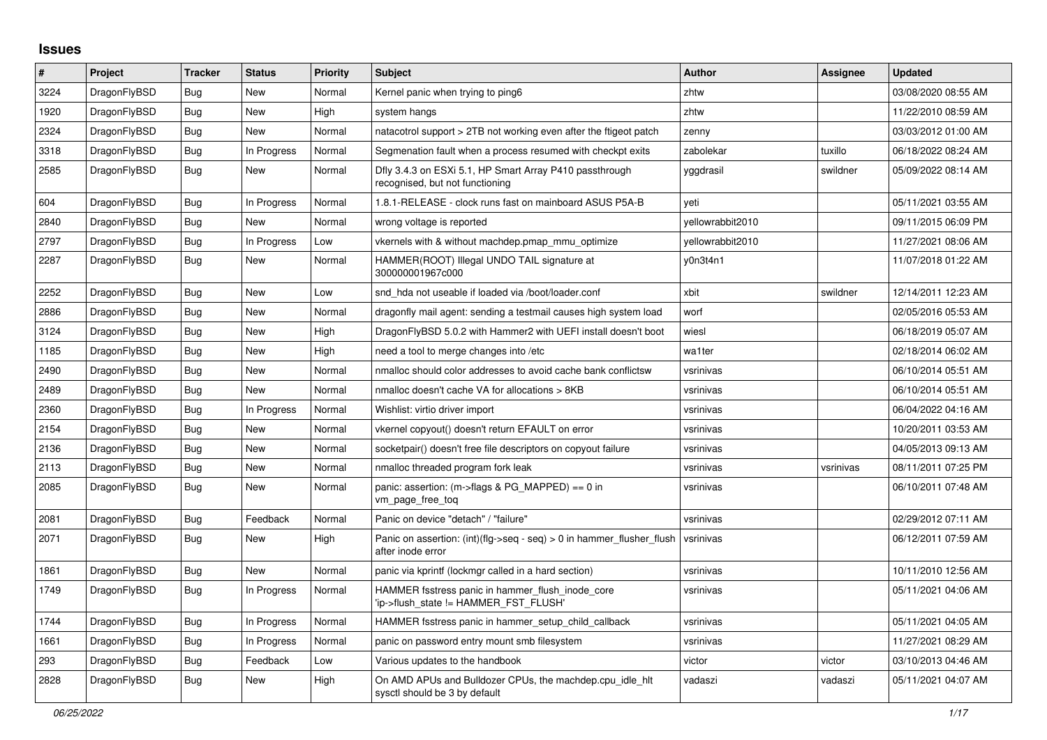## **Issues**

| $\#$ | Project      | <b>Tracker</b> | <b>Status</b> | <b>Priority</b> | <b>Subject</b>                                                                             | <b>Author</b>    | Assignee  | <b>Updated</b>      |
|------|--------------|----------------|---------------|-----------------|--------------------------------------------------------------------------------------------|------------------|-----------|---------------------|
| 3224 | DragonFlyBSD | Bug            | <b>New</b>    | Normal          | Kernel panic when trying to ping6                                                          | zhtw             |           | 03/08/2020 08:55 AM |
| 1920 | DragonFlyBSD | <b>Bug</b>     | <b>New</b>    | High            | system hangs                                                                               | zhtw             |           | 11/22/2010 08:59 AM |
| 2324 | DragonFlyBSD | <b>Bug</b>     | <b>New</b>    | Normal          | natacotrol support > 2TB not working even after the ftigeot patch                          | zenny            |           | 03/03/2012 01:00 AM |
| 3318 | DragonFlyBSD | <b>Bug</b>     | In Progress   | Normal          | Segmenation fault when a process resumed with checkpt exits                                | zabolekar        | tuxillo   | 06/18/2022 08:24 AM |
| 2585 | DragonFlyBSD | <b>Bug</b>     | New           | Normal          | Dfly 3.4.3 on ESXi 5.1, HP Smart Array P410 passthrough<br>recognised, but not functioning | yggdrasil        | swildner  | 05/09/2022 08:14 AM |
| 604  | DragonFlyBSD | Bug            | In Progress   | Normal          | 1.8.1-RELEASE - clock runs fast on mainboard ASUS P5A-B                                    | veti             |           | 05/11/2021 03:55 AM |
| 2840 | DragonFlyBSD | <b>Bug</b>     | <b>New</b>    | Normal          | wrong voltage is reported                                                                  | vellowrabbit2010 |           | 09/11/2015 06:09 PM |
| 2797 | DragonFlyBSD | Bug            | In Progress   | Low             | vkernels with & without machdep.pmap mmu optimize                                          | yellowrabbit2010 |           | 11/27/2021 08:06 AM |
| 2287 | DragonFlyBSD | Bug            | New           | Normal          | HAMMER(ROOT) Illegal UNDO TAIL signature at<br>300000001967c000                            | y0n3t4n1         |           | 11/07/2018 01:22 AM |
| 2252 | DragonFlyBSD | <b>Bug</b>     | New           | Low             | snd hda not useable if loaded via /boot/loader.conf                                        | xbit             | swildner  | 12/14/2011 12:23 AM |
| 2886 | DragonFlyBSD | Bug            | New           | Normal          | dragonfly mail agent: sending a testmail causes high system load                           | worf             |           | 02/05/2016 05:53 AM |
| 3124 | DragonFlyBSD | <b>Bug</b>     | New           | High            | DragonFlyBSD 5.0.2 with Hammer2 with UEFI install doesn't boot                             | wiesl            |           | 06/18/2019 05:07 AM |
| 1185 | DragonFlyBSD | Bug            | <b>New</b>    | High            | need a tool to merge changes into /etc                                                     | wa1ter           |           | 02/18/2014 06:02 AM |
| 2490 | DragonFlyBSD | Bug            | New           | Normal          | nmalloc should color addresses to avoid cache bank conflictsw                              | vsrinivas        |           | 06/10/2014 05:51 AM |
| 2489 | DragonFlyBSD | Bug            | New           | Normal          | nmalloc doesn't cache VA for allocations > 8KB                                             | vsrinivas        |           | 06/10/2014 05:51 AM |
| 2360 | DragonFlyBSD | Bug            | In Progress   | Normal          | Wishlist: virtio driver import                                                             | vsrinivas        |           | 06/04/2022 04:16 AM |
| 2154 | DragonFlyBSD | Bug            | New           | Normal          | vkernel copyout() doesn't return EFAULT on error                                           | vsrinivas        |           | 10/20/2011 03:53 AM |
| 2136 | DragonFlyBSD | Bug            | <b>New</b>    | Normal          | socketpair() doesn't free file descriptors on copyout failure                              | vsrinivas        |           | 04/05/2013 09:13 AM |
| 2113 | DragonFlyBSD | <b>Bug</b>     | <b>New</b>    | Normal          | nmalloc threaded program fork leak                                                         | vsrinivas        | vsrinivas | 08/11/2011 07:25 PM |
| 2085 | DragonFlyBSD | <b>Bug</b>     | New           | Normal          | panic: assertion: (m->flags & PG_MAPPED) == 0 in<br>vm_page_free_toq                       | vsrinivas        |           | 06/10/2011 07:48 AM |
| 2081 | DragonFlyBSD | <b>Bug</b>     | Feedback      | Normal          | Panic on device "detach" / "failure"                                                       | vsrinivas        |           | 02/29/2012 07:11 AM |
| 2071 | DragonFlyBSD | Bug            | <b>New</b>    | High            | Panic on assertion: (int)(flg->seq - seq) > 0 in hammer flusher flush<br>after inode error | vsrinivas        |           | 06/12/2011 07:59 AM |
| 1861 | DragonFlyBSD | Bug            | New           | Normal          | panic via kprintf (lockmgr called in a hard section)                                       | vsrinivas        |           | 10/11/2010 12:56 AM |
| 1749 | DragonFlyBSD | Bug            | In Progress   | Normal          | HAMMER fsstress panic in hammer flush inode core<br>'ip->flush state != HAMMER FST FLUSH'  | vsrinivas        |           | 05/11/2021 04:06 AM |
| 1744 | DragonFlyBSD | <b>Bug</b>     | In Progress   | Normal          | HAMMER fsstress panic in hammer_setup_child_callback                                       | vsrinivas        |           | 05/11/2021 04:05 AM |
| 1661 | DragonFlyBSD | <b>Bug</b>     | In Progress   | Normal          | panic on password entry mount smb filesystem                                               | vsrinivas        |           | 11/27/2021 08:29 AM |
| 293  | DragonFlyBSD | Bug            | Feedback      | Low             | Various updates to the handbook                                                            | victor           | victor    | 03/10/2013 04:46 AM |
| 2828 | DragonFlyBSD | Bug            | <b>New</b>    | High            | On AMD APUs and Bulldozer CPUs, the machdep.cpu_idle_hlt<br>sysctl should be 3 by default  | vadaszi          | vadaszi   | 05/11/2021 04:07 AM |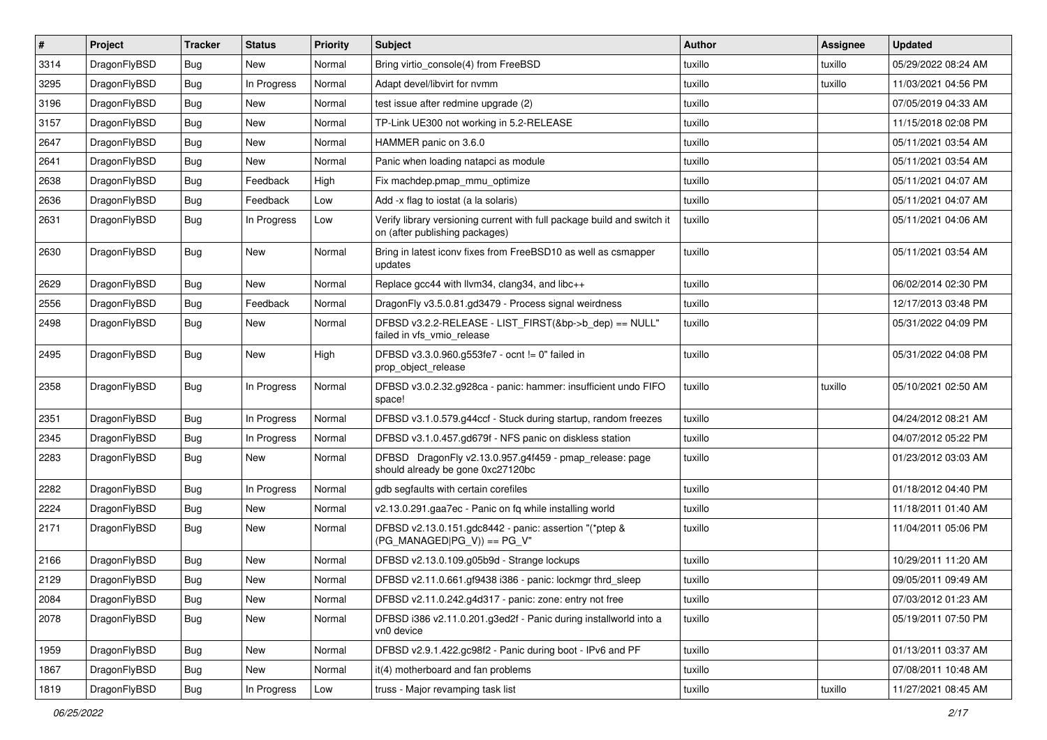| $\vert$ # | Project      | <b>Tracker</b> | <b>Status</b> | <b>Priority</b> | Subject                                                                                                   | <b>Author</b> | Assignee | <b>Updated</b>      |
|-----------|--------------|----------------|---------------|-----------------|-----------------------------------------------------------------------------------------------------------|---------------|----------|---------------------|
| 3314      | DragonFlyBSD | Bug            | New           | Normal          | Bring virtio_console(4) from FreeBSD                                                                      | tuxillo       | tuxillo  | 05/29/2022 08:24 AM |
| 3295      | DragonFlyBSD | Bug            | In Progress   | Normal          | Adapt devel/libvirt for nvmm                                                                              | tuxillo       | tuxillo  | 11/03/2021 04:56 PM |
| 3196      | DragonFlyBSD | Bug            | New           | Normal          | test issue after redmine upgrade (2)                                                                      | tuxillo       |          | 07/05/2019 04:33 AM |
| 3157      | DragonFlyBSD | Bug            | <b>New</b>    | Normal          | TP-Link UE300 not working in 5.2-RELEASE                                                                  | tuxillo       |          | 11/15/2018 02:08 PM |
| 2647      | DragonFlyBSD | Bug            | <b>New</b>    | Normal          | HAMMER panic on 3.6.0                                                                                     | tuxillo       |          | 05/11/2021 03:54 AM |
| 2641      | DragonFlyBSD | Bug            | New           | Normal          | Panic when loading natapci as module                                                                      | tuxillo       |          | 05/11/2021 03:54 AM |
| 2638      | DragonFlyBSD | Bug            | Feedback      | High            | Fix machdep.pmap_mmu_optimize                                                                             | tuxillo       |          | 05/11/2021 04:07 AM |
| 2636      | DragonFlyBSD | Bug            | Feedback      | Low             | Add -x flag to iostat (a la solaris)                                                                      | tuxillo       |          | 05/11/2021 04:07 AM |
| 2631      | DragonFlyBSD | Bug            | In Progress   | Low             | Verify library versioning current with full package build and switch it<br>on (after publishing packages) | tuxillo       |          | 05/11/2021 04:06 AM |
| 2630      | DragonFlyBSD | <b>Bug</b>     | New           | Normal          | Bring in latest iconv fixes from FreeBSD10 as well as csmapper<br>updates                                 | tuxillo       |          | 05/11/2021 03:54 AM |
| 2629      | DragonFlyBSD | Bug            | New           | Normal          | Replace gcc44 with llvm34, clang34, and libc++                                                            | tuxillo       |          | 06/02/2014 02:30 PM |
| 2556      | DragonFlyBSD | Bug            | Feedback      | Normal          | DragonFly v3.5.0.81.gd3479 - Process signal weirdness                                                     | tuxillo       |          | 12/17/2013 03:48 PM |
| 2498      | DragonFlyBSD | Bug            | <b>New</b>    | Normal          | DFBSD v3.2.2-RELEASE - LIST FIRST(&bp->b dep) == NULL"<br>failed in vfs_vmio_release                      | tuxillo       |          | 05/31/2022 04:09 PM |
| 2495      | DragonFlyBSD | Bug            | New           | High            | DFBSD v3.3.0.960.g553fe7 - ocnt != 0" failed in<br>prop_object_release                                    | tuxillo       |          | 05/31/2022 04:08 PM |
| 2358      | DragonFlyBSD | <b>Bug</b>     | In Progress   | Normal          | DFBSD v3.0.2.32.g928ca - panic: hammer: insufficient undo FIFO<br>space!                                  | tuxillo       | tuxillo  | 05/10/2021 02:50 AM |
| 2351      | DragonFlyBSD | <b>Bug</b>     | In Progress   | Normal          | DFBSD v3.1.0.579.g44ccf - Stuck during startup, random freezes                                            | tuxillo       |          | 04/24/2012 08:21 AM |
| 2345      | DragonFlyBSD | Bug            | In Progress   | Normal          | DFBSD v3.1.0.457.gd679f - NFS panic on diskless station                                                   | tuxillo       |          | 04/07/2012 05:22 PM |
| 2283      | DragonFlyBSD | Bug            | New           | Normal          | DFBSD DragonFly v2.13.0.957.g4f459 - pmap_release: page<br>should already be gone 0xc27120bc              | tuxillo       |          | 01/23/2012 03:03 AM |
| 2282      | DragonFlyBSD | Bug            | In Progress   | Normal          | gdb segfaults with certain corefiles                                                                      | tuxillo       |          | 01/18/2012 04:40 PM |
| 2224      | DragonFlyBSD | Bug            | <b>New</b>    | Normal          | v2.13.0.291.gaa7ec - Panic on fq while installing world                                                   | tuxillo       |          | 11/18/2011 01:40 AM |
| 2171      | DragonFlyBSD | Bug            | <b>New</b>    | Normal          | DFBSD v2.13.0.151.gdc8442 - panic: assertion "(*ptep &<br>$(PG_MANAGED PG_V)) == PG_V"$                   | tuxillo       |          | 11/04/2011 05:06 PM |
| 2166      | DragonFlyBSD | Bug            | New           | Normal          | DFBSD v2.13.0.109.g05b9d - Strange lockups                                                                | tuxillo       |          | 10/29/2011 11:20 AM |
| 2129      | DragonFlyBSD | <b>Bug</b>     | New           | Normal          | DFBSD v2.11.0.661.gf9438 i386 - panic: lockmgr thrd_sleep                                                 | tuxillo       |          | 09/05/2011 09:49 AM |
| 2084      | DragonFlyBSD | Bug            | New           | Normal          | DFBSD v2.11.0.242.g4d317 - panic: zone: entry not free                                                    | tuxillo       |          | 07/03/2012 01:23 AM |
| 2078      | DragonFlyBSD | <b>Bug</b>     | New           | Normal          | DFBSD i386 v2.11.0.201.g3ed2f - Panic during installworld into a<br>vn0 device                            | tuxillo       |          | 05/19/2011 07:50 PM |
| 1959      | DragonFlyBSD | Bug            | New           | Normal          | DFBSD v2.9.1.422.gc98f2 - Panic during boot - IPv6 and PF                                                 | tuxillo       |          | 01/13/2011 03:37 AM |
| 1867      | DragonFlyBSD | Bug            | New           | Normal          | it(4) motherboard and fan problems                                                                        | tuxillo       |          | 07/08/2011 10:48 AM |
| 1819      | DragonFlyBSD | Bug            | In Progress   | Low             | truss - Major revamping task list                                                                         | tuxillo       | tuxillo  | 11/27/2021 08:45 AM |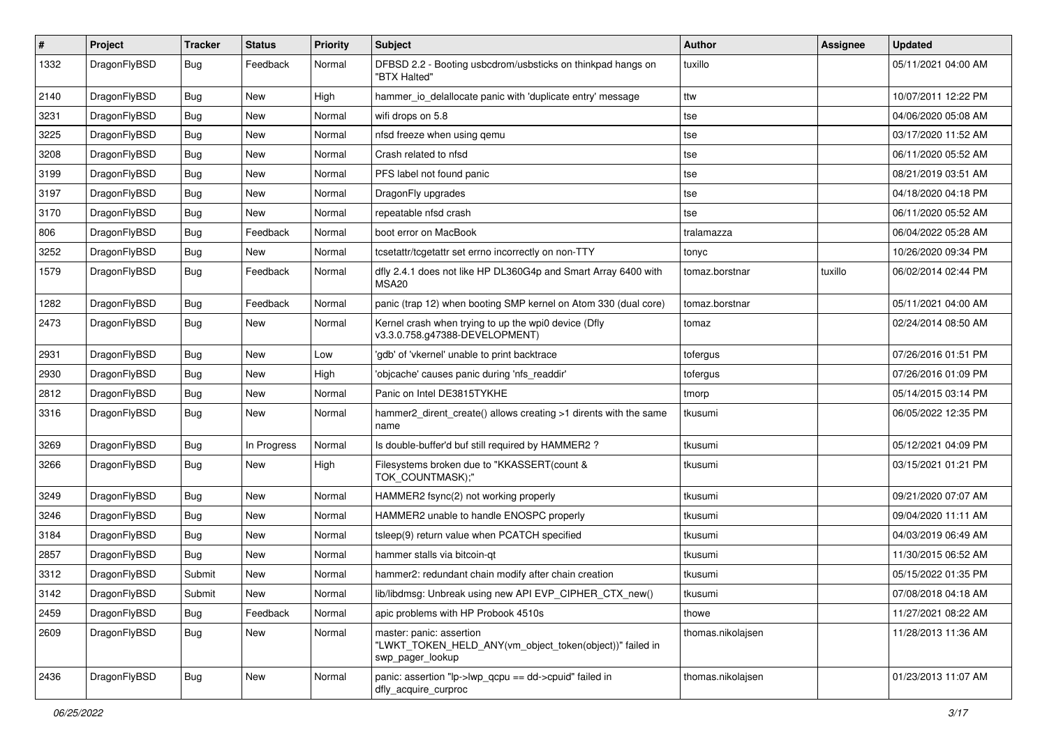| $\pmb{\#}$ | Project      | <b>Tracker</b> | <b>Status</b> | <b>Priority</b> | Subject                                                                                                  | <b>Author</b>     | Assignee | <b>Updated</b>      |
|------------|--------------|----------------|---------------|-----------------|----------------------------------------------------------------------------------------------------------|-------------------|----------|---------------------|
| 1332       | DragonFlyBSD | Bug            | Feedback      | Normal          | DFBSD 2.2 - Booting usbcdrom/usbsticks on thinkpad hangs on<br>"BTX Halted"                              | tuxillo           |          | 05/11/2021 04:00 AM |
| 2140       | DragonFlyBSD | <b>Bug</b>     | <b>New</b>    | High            | hammer io delallocate panic with 'duplicate entry' message                                               | ttw               |          | 10/07/2011 12:22 PM |
| 3231       | DragonFlyBSD | Bug            | <b>New</b>    | Normal          | wifi drops on 5.8                                                                                        | tse               |          | 04/06/2020 05:08 AM |
| 3225       | DragonFlyBSD | <b>Bug</b>     | <b>New</b>    | Normal          | nfsd freeze when using qemu                                                                              | tse               |          | 03/17/2020 11:52 AM |
| 3208       | DragonFlyBSD | Bug            | <b>New</b>    | Normal          | Crash related to nfsd                                                                                    | tse               |          | 06/11/2020 05:52 AM |
| 3199       | DragonFlyBSD | Bug            | <b>New</b>    | Normal          | PFS label not found panic                                                                                | tse               |          | 08/21/2019 03:51 AM |
| 3197       | DragonFlyBSD | Bug            | New           | Normal          | DragonFly upgrades                                                                                       | tse               |          | 04/18/2020 04:18 PM |
| 3170       | DragonFlyBSD | Bug            | New           | Normal          | repeatable nfsd crash                                                                                    | tse               |          | 06/11/2020 05:52 AM |
| 806        | DragonFlyBSD | Bug            | Feedback      | Normal          | boot error on MacBook                                                                                    | tralamazza        |          | 06/04/2022 05:28 AM |
| 3252       | DragonFlyBSD | <b>Bug</b>     | New           | Normal          | tcsetattr/tcgetattr set errno incorrectly on non-TTY                                                     | tonyc             |          | 10/26/2020 09:34 PM |
| 1579       | DragonFlyBSD | Bug            | Feedback      | Normal          | dfly 2.4.1 does not like HP DL360G4p and Smart Array 6400 with<br>MSA <sub>20</sub>                      | tomaz.borstnar    | tuxillo  | 06/02/2014 02:44 PM |
| 1282       | DragonFlyBSD | Bug            | Feedback      | Normal          | panic (trap 12) when booting SMP kernel on Atom 330 (dual core)                                          | tomaz.borstnar    |          | 05/11/2021 04:00 AM |
| 2473       | DragonFlyBSD | Bug            | New           | Normal          | Kernel crash when trying to up the wpi0 device (Dfly<br>v3.3.0.758.g47388-DEVELOPMENT)                   | tomaz             |          | 02/24/2014 08:50 AM |
| 2931       | DragonFlyBSD | Bug            | <b>New</b>    | Low             | 'gdb' of 'vkernel' unable to print backtrace                                                             | tofergus          |          | 07/26/2016 01:51 PM |
| 2930       | DragonFlyBSD | Bug            | <b>New</b>    | High            | 'objcache' causes panic during 'nfs_readdir'                                                             | tofergus          |          | 07/26/2016 01:09 PM |
| 2812       | DragonFlyBSD | Bug            | New           | Normal          | Panic on Intel DE3815TYKHE                                                                               | tmorp             |          | 05/14/2015 03:14 PM |
| 3316       | DragonFlyBSD | Bug            | New           | Normal          | hammer2_dirent_create() allows creating >1 dirents with the same<br>name                                 | tkusumi           |          | 06/05/2022 12:35 PM |
| 3269       | DragonFlyBSD | Bug            | In Progress   | Normal          | Is double-buffer'd buf still required by HAMMER2?                                                        | tkusumi           |          | 05/12/2021 04:09 PM |
| 3266       | DragonFlyBSD | Bug            | New           | High            | Filesystems broken due to "KKASSERT(count &<br>TOK_COUNTMASK);"                                          | tkusumi           |          | 03/15/2021 01:21 PM |
| 3249       | DragonFlyBSD | Bug            | <b>New</b>    | Normal          | HAMMER2 fsync(2) not working properly                                                                    | tkusumi           |          | 09/21/2020 07:07 AM |
| 3246       | DragonFlyBSD | Bug            | <b>New</b>    | Normal          | HAMMER2 unable to handle ENOSPC properly                                                                 | tkusumi           |          | 09/04/2020 11:11 AM |
| 3184       | DragonFlyBSD | Bug            | New           | Normal          | tsleep(9) return value when PCATCH specified                                                             | tkusumi           |          | 04/03/2019 06:49 AM |
| 2857       | DragonFlyBSD | Bug            | New           | Normal          | hammer stalls via bitcoin-qt                                                                             | tkusumi           |          | 11/30/2015 06:52 AM |
| 3312       | DragonFlyBSD | Submit         | New           | Normal          | hammer2: redundant chain modify after chain creation                                                     | tkusumi           |          | 05/15/2022 01:35 PM |
| 3142       | DragonFlyBSD | Submit         | <b>New</b>    | Normal          | lib/libdmsg: Unbreak using new API EVP_CIPHER_CTX_new()                                                  | tkusumi           |          | 07/08/2018 04:18 AM |
| 2459       | DragonFlyBSD | Bug            | Feedback      | Normal          | apic problems with HP Probook 4510s                                                                      | thowe             |          | 11/27/2021 08:22 AM |
| 2609       | DragonFlyBSD | <b>Bug</b>     | <b>New</b>    | Normal          | master: panic: assertion<br>"LWKT TOKEN HELD ANY(vm object token(object))" failed in<br>swp_pager_lookup | thomas.nikolajsen |          | 11/28/2013 11:36 AM |
| 2436       | DragonFlyBSD | Bug            | New           | Normal          | panic: assertion "lp->lwp_qcpu == dd->cpuid" failed in<br>dfly_acquire_curproc                           | thomas.nikolajsen |          | 01/23/2013 11:07 AM |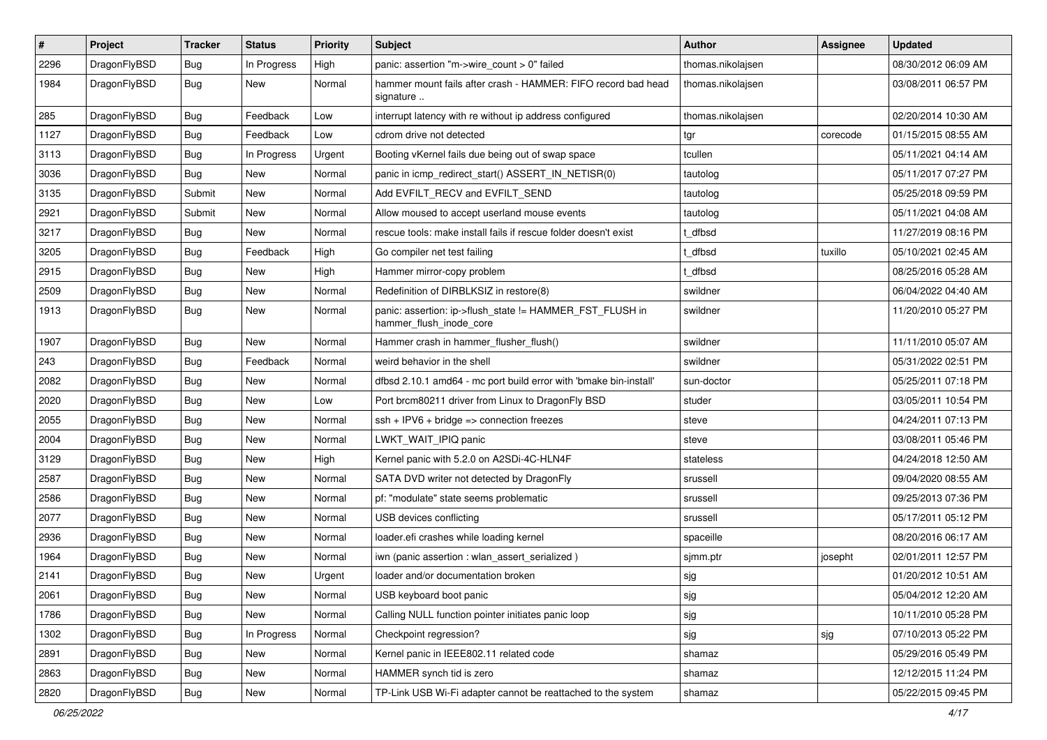| $\pmb{\#}$ | Project      | <b>Tracker</b> | <b>Status</b> | <b>Priority</b> | Subject                                                                             | <b>Author</b>     | Assignee | <b>Updated</b>      |
|------------|--------------|----------------|---------------|-----------------|-------------------------------------------------------------------------------------|-------------------|----------|---------------------|
| 2296       | DragonFlyBSD | Bug            | In Progress   | High            | panic: assertion "m->wire count > 0" failed                                         | thomas.nikolajsen |          | 08/30/2012 06:09 AM |
| 1984       | DragonFlyBSD | Bug            | <b>New</b>    | Normal          | hammer mount fails after crash - HAMMER: FIFO record bad head<br>signature          | thomas.nikolajsen |          | 03/08/2011 06:57 PM |
| 285        | DragonFlyBSD | Bug            | Feedback      | Low             | interrupt latency with re without ip address configured                             | thomas.nikolajsen |          | 02/20/2014 10:30 AM |
| 1127       | DragonFlyBSD | Bug            | Feedback      | Low             | cdrom drive not detected                                                            | tgr               | corecode | 01/15/2015 08:55 AM |
| 3113       | DragonFlyBSD | Bug            | In Progress   | Urgent          | Booting vKernel fails due being out of swap space                                   | tcullen           |          | 05/11/2021 04:14 AM |
| 3036       | DragonFlyBSD | Bug            | <b>New</b>    | Normal          | panic in icmp redirect start() ASSERT IN NETISR(0)                                  | tautolog          |          | 05/11/2017 07:27 PM |
| 3135       | DragonFlyBSD | Submit         | <b>New</b>    | Normal          | Add EVFILT_RECV and EVFILT_SEND                                                     | tautolog          |          | 05/25/2018 09:59 PM |
| 2921       | DragonFlyBSD | Submit         | <b>New</b>    | Normal          | Allow moused to accept userland mouse events                                        | tautolog          |          | 05/11/2021 04:08 AM |
| 3217       | DragonFlyBSD | Bug            | <b>New</b>    | Normal          | rescue tools: make install fails if rescue folder doesn't exist                     | t_dfbsd           |          | 11/27/2019 08:16 PM |
| 3205       | DragonFlyBSD | Bug            | Feedback      | High            | Go compiler net test failing                                                        | t dfbsd           | tuxillo  | 05/10/2021 02:45 AM |
| 2915       | DragonFlyBSD | Bug            | <b>New</b>    | High            | Hammer mirror-copy problem                                                          | t dfbsd           |          | 08/25/2016 05:28 AM |
| 2509       | DragonFlyBSD | Bug            | <b>New</b>    | Normal          | Redefinition of DIRBLKSIZ in restore(8)                                             | swildner          |          | 06/04/2022 04:40 AM |
| 1913       | DragonFlyBSD | Bug            | <b>New</b>    | Normal          | panic: assertion: ip->flush_state != HAMMER_FST_FLUSH in<br>hammer_flush_inode_core | swildner          |          | 11/20/2010 05:27 PM |
| 1907       | DragonFlyBSD | Bug            | <b>New</b>    | Normal          | Hammer crash in hammer flusher flush()                                              | swildner          |          | 11/11/2010 05:07 AM |
| 243        | DragonFlyBSD | <b>Bug</b>     | Feedback      | Normal          | weird behavior in the shell                                                         | swildner          |          | 05/31/2022 02:51 PM |
| 2082       | DragonFlyBSD | Bug            | New           | Normal          | dfbsd 2.10.1 amd64 - mc port build error with 'bmake bin-install'                   | sun-doctor        |          | 05/25/2011 07:18 PM |
| 2020       | DragonFlyBSD | Bug            | <b>New</b>    | Low             | Port brcm80211 driver from Linux to DragonFly BSD                                   | studer            |          | 03/05/2011 10:54 PM |
| 2055       | DragonFlyBSD | Bug            | <b>New</b>    | Normal          | $ssh + IPV6 + bridge \Rightarrow connection freezes$                                | steve             |          | 04/24/2011 07:13 PM |
| 2004       | DragonFlyBSD | <b>Bug</b>     | New           | Normal          | LWKT_WAIT_IPIQ panic                                                                | steve             |          | 03/08/2011 05:46 PM |
| 3129       | DragonFlyBSD | Bug            | <b>New</b>    | High            | Kernel panic with 5.2.0 on A2SDi-4C-HLN4F                                           | stateless         |          | 04/24/2018 12:50 AM |
| 2587       | DragonFlyBSD | Bug            | <b>New</b>    | Normal          | SATA DVD writer not detected by DragonFly                                           | srussell          |          | 09/04/2020 08:55 AM |
| 2586       | DragonFlyBSD | Bug            | <b>New</b>    | Normal          | pf: "modulate" state seems problematic                                              | srussell          |          | 09/25/2013 07:36 PM |
| 2077       | DragonFlyBSD | Bug            | New           | Normal          | USB devices conflicting                                                             | srussell          |          | 05/17/2011 05:12 PM |
| 2936       | DragonFlyBSD | Bug            | <b>New</b>    | Normal          | loader.efi crashes while loading kernel                                             | spaceille         |          | 08/20/2016 06:17 AM |
| 1964       | DragonFlyBSD | Bug            | New           | Normal          | iwn (panic assertion : wlan assert serialized)                                      | sjmm.ptr          | josepht  | 02/01/2011 12:57 PM |
| 2141       | DragonFlyBSD | Bug            | <b>New</b>    | Urgent          | loader and/or documentation broken                                                  | sjg               |          | 01/20/2012 10:51 AM |
| 2061       | DragonFlyBSD | <b>Bug</b>     | New           | Normal          | USB keyboard boot panic                                                             | sjg               |          | 05/04/2012 12:20 AM |
| 1786       | DragonFlyBSD | <b>Bug</b>     | New           | Normal          | Calling NULL function pointer initiates panic loop                                  | sjg               |          | 10/11/2010 05:28 PM |
| 1302       | DragonFlyBSD | <b>Bug</b>     | In Progress   | Normal          | Checkpoint regression?                                                              | sjg               | sjg      | 07/10/2013 05:22 PM |
| 2891       | DragonFlyBSD | <b>Bug</b>     | New           | Normal          | Kernel panic in IEEE802.11 related code                                             | shamaz            |          | 05/29/2016 05:49 PM |
| 2863       | DragonFlyBSD | <b>Bug</b>     | New           | Normal          | HAMMER synch tid is zero                                                            | shamaz            |          | 12/12/2015 11:24 PM |
| 2820       | DragonFlyBSD | <b>Bug</b>     | New           | Normal          | TP-Link USB Wi-Fi adapter cannot be reattached to the system                        | shamaz            |          | 05/22/2015 09:45 PM |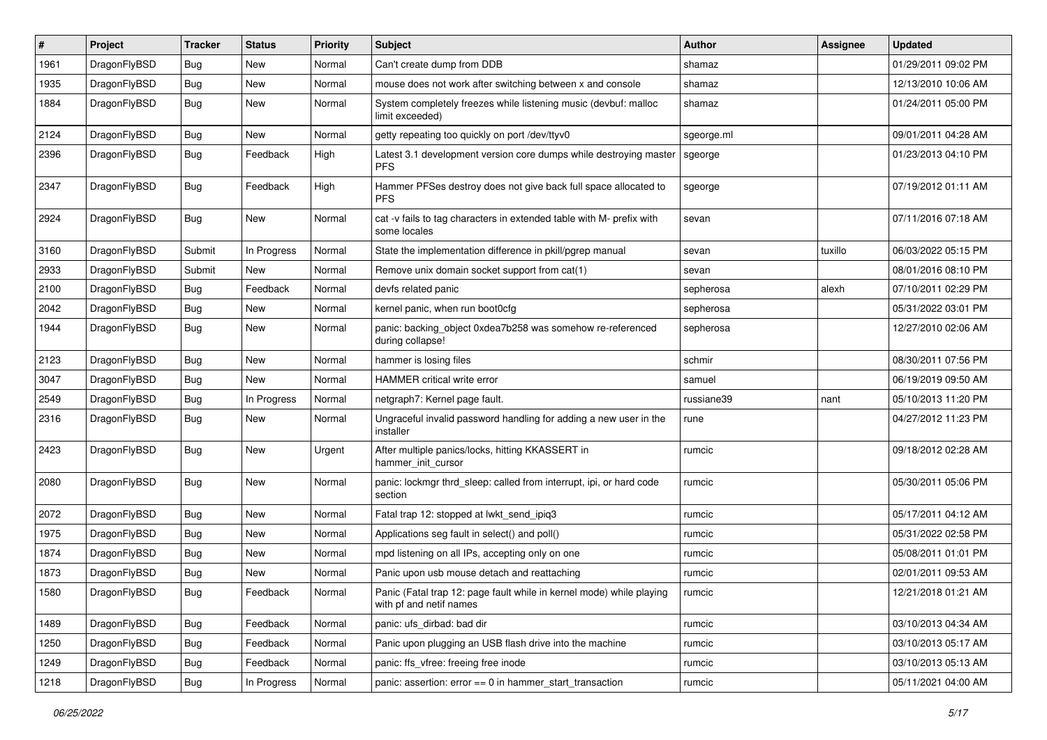| #    | Project      | <b>Tracker</b> | <b>Status</b> | <b>Priority</b> | Subject                                                                                         | Author     | Assignee | <b>Updated</b>      |
|------|--------------|----------------|---------------|-----------------|-------------------------------------------------------------------------------------------------|------------|----------|---------------------|
| 1961 | DragonFlyBSD | <b>Bug</b>     | <b>New</b>    | Normal          | Can't create dump from DDB                                                                      | shamaz     |          | 01/29/2011 09:02 PM |
| 1935 | DragonFlyBSD | Bug            | <b>New</b>    | Normal          | mouse does not work after switching between x and console                                       | shamaz     |          | 12/13/2010 10:06 AM |
| 1884 | DragonFlyBSD | Bug            | New           | Normal          | System completely freezes while listening music (devbuf: malloc<br>limit exceeded)              | shamaz     |          | 01/24/2011 05:00 PM |
| 2124 | DragonFlyBSD | Bug            | New           | Normal          | getty repeating too quickly on port /dev/ttyv0                                                  | sgeorge.ml |          | 09/01/2011 04:28 AM |
| 2396 | DragonFlyBSD | <b>Bug</b>     | Feedback      | High            | Latest 3.1 development version core dumps while destroying master<br><b>PFS</b>                 | sgeorge    |          | 01/23/2013 04:10 PM |
| 2347 | DragonFlyBSD | Bug            | Feedback      | High            | Hammer PFSes destroy does not give back full space allocated to<br><b>PFS</b>                   | sgeorge    |          | 07/19/2012 01:11 AM |
| 2924 | DragonFlyBSD | Bug            | New           | Normal          | cat -v fails to tag characters in extended table with M- prefix with<br>some locales            | sevan      |          | 07/11/2016 07:18 AM |
| 3160 | DragonFlyBSD | Submit         | In Progress   | Normal          | State the implementation difference in pkill/pgrep manual                                       | sevan      | tuxillo  | 06/03/2022 05:15 PM |
| 2933 | DragonFlyBSD | Submit         | New           | Normal          | Remove unix domain socket support from cat(1)                                                   | sevan      |          | 08/01/2016 08:10 PM |
| 2100 | DragonFlyBSD | Bug            | Feedback      | Normal          | devfs related panic                                                                             | sepherosa  | alexh    | 07/10/2011 02:29 PM |
| 2042 | DragonFlyBSD | Bug            | New           | Normal          | kernel panic, when run boot0cfg                                                                 | sepherosa  |          | 05/31/2022 03:01 PM |
| 1944 | DragonFlyBSD | Bug            | New           | Normal          | panic: backing object 0xdea7b258 was somehow re-referenced<br>during collapse!                  | sepherosa  |          | 12/27/2010 02:06 AM |
| 2123 | DragonFlyBSD | Bug            | New           | Normal          | hammer is losing files                                                                          | schmir     |          | 08/30/2011 07:56 PM |
| 3047 | DragonFlyBSD | Bug            | <b>New</b>    | Normal          | HAMMER critical write error                                                                     | samuel     |          | 06/19/2019 09:50 AM |
| 2549 | DragonFlyBSD | Bug            | In Progress   | Normal          | netgraph7: Kernel page fault.                                                                   | russiane39 | nant     | 05/10/2013 11:20 PM |
| 2316 | DragonFlyBSD | Bug            | New           | Normal          | Ungraceful invalid password handling for adding a new user in the<br>installer                  | rune       |          | 04/27/2012 11:23 PM |
| 2423 | DragonFlyBSD | <b>Bug</b>     | New           | Urgent          | After multiple panics/locks, hitting KKASSERT in<br>hammer init cursor                          | rumcic     |          | 09/18/2012 02:28 AM |
| 2080 | DragonFlyBSD | Bug            | New           | Normal          | panic: lockmgr thrd_sleep: called from interrupt, ipi, or hard code<br>section                  | rumcic     |          | 05/30/2011 05:06 PM |
| 2072 | DragonFlyBSD | Bug            | New           | Normal          | Fatal trap 12: stopped at lwkt send ipig3                                                       | rumcic     |          | 05/17/2011 04:12 AM |
| 1975 | DragonFlyBSD | Bug            | New           | Normal          | Applications seg fault in select() and poll()                                                   | rumcic     |          | 05/31/2022 02:58 PM |
| 1874 | DragonFlyBSD | <b>Bug</b>     | New           | Normal          | mpd listening on all IPs, accepting only on one                                                 | rumcic     |          | 05/08/2011 01:01 PM |
| 1873 | DragonFlyBSD | Bug            | New           | Normal          | Panic upon usb mouse detach and reattaching                                                     | rumcic     |          | 02/01/2011 09:53 AM |
| 1580 | DragonFlyBSD | <b>Bug</b>     | Feedback      | Normal          | Panic (Fatal trap 12: page fault while in kernel mode) while playing<br>with pf and netif names | rumcic     |          | 12/21/2018 01:21 AM |
| 1489 | DragonFlyBSD | <b>Bug</b>     | Feedback      | Normal          | panic: ufs dirbad: bad dir                                                                      | rumcic     |          | 03/10/2013 04:34 AM |
| 1250 | DragonFlyBSD | <b>Bug</b>     | Feedback      | Normal          | Panic upon plugging an USB flash drive into the machine                                         | rumcic     |          | 03/10/2013 05:17 AM |
| 1249 | DragonFlyBSD | <b>Bug</b>     | Feedback      | Normal          | panic: ffs_vfree: freeing free inode                                                            | rumcic     |          | 03/10/2013 05:13 AM |
| 1218 | DragonFlyBSD | <b>Bug</b>     | In Progress   | Normal          | panic: assertion: error == 0 in hammer_start_transaction                                        | rumcic     |          | 05/11/2021 04:00 AM |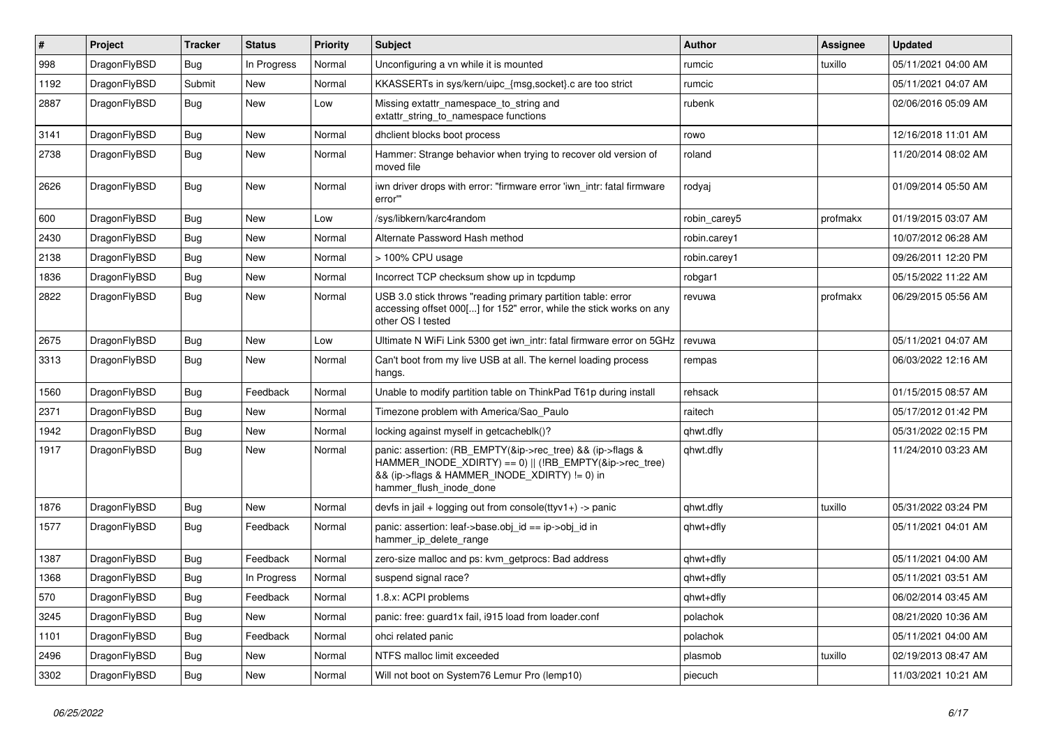| $\pmb{\#}$ | <b>Project</b> | <b>Tracker</b> | <b>Status</b> | <b>Priority</b> | <b>Subject</b>                                                                                                                                                                                    | <b>Author</b> | Assignee | Updated             |
|------------|----------------|----------------|---------------|-----------------|---------------------------------------------------------------------------------------------------------------------------------------------------------------------------------------------------|---------------|----------|---------------------|
| 998        | DragonFlyBSD   | <b>Bug</b>     | In Progress   | Normal          | Unconfiguring a vn while it is mounted                                                                                                                                                            | rumcic        | tuxillo  | 05/11/2021 04:00 AM |
| 1192       | DragonFlyBSD   | Submit         | <b>New</b>    | Normal          | KKASSERTs in sys/kern/uipc_{msg,socket}.c are too strict                                                                                                                                          | rumcic        |          | 05/11/2021 04:07 AM |
| 2887       | DragonFlyBSD   | Bug            | <b>New</b>    | Low             | Missing extattr namespace to string and<br>extattr string to namespace functions                                                                                                                  | rubenk        |          | 02/06/2016 05:09 AM |
| 3141       | DragonFlyBSD   | Bug            | <b>New</b>    | Normal          | dholient blocks boot process                                                                                                                                                                      | rowo          |          | 12/16/2018 11:01 AM |
| 2738       | DragonFlyBSD   | Bug            | New           | Normal          | Hammer: Strange behavior when trying to recover old version of<br>moved file                                                                                                                      | roland        |          | 11/20/2014 08:02 AM |
| 2626       | DragonFlyBSD   | Bug            | <b>New</b>    | Normal          | iwn driver drops with error: "firmware error 'iwn intr: fatal firmware<br>error"                                                                                                                  | rodyaj        |          | 01/09/2014 05:50 AM |
| 600        | DragonFlyBSD   | Bug            | New           | Low             | /sys/libkern/karc4random                                                                                                                                                                          | robin carey5  | profmakx | 01/19/2015 03:07 AM |
| 2430       | DragonFlyBSD   | Bug            | <b>New</b>    | Normal          | Alternate Password Hash method                                                                                                                                                                    | robin.carey1  |          | 10/07/2012 06:28 AM |
| 2138       | DragonFlyBSD   | Bug            | <b>New</b>    | Normal          | > 100% CPU usage                                                                                                                                                                                  | robin.carey1  |          | 09/26/2011 12:20 PM |
| 1836       | DragonFlyBSD   | Bug            | <b>New</b>    | Normal          | Incorrect TCP checksum show up in tcpdump                                                                                                                                                         | robgar1       |          | 05/15/2022 11:22 AM |
| 2822       | DragonFlyBSD   | Bug            | <b>New</b>    | Normal          | USB 3.0 stick throws "reading primary partition table: error<br>accessing offset 000[] for 152" error, while the stick works on any<br>other OS I tested                                          | revuwa        | profmakx | 06/29/2015 05:56 AM |
| 2675       | DragonFlyBSD   | Bug            | New           | Low             | Ultimate N WiFi Link 5300 get iwn intr: fatal firmware error on 5GHz                                                                                                                              | revuwa        |          | 05/11/2021 04:07 AM |
| 3313       | DragonFlyBSD   | Bug            | New           | Normal          | Can't boot from my live USB at all. The kernel loading process<br>hangs.                                                                                                                          | rempas        |          | 06/03/2022 12:16 AM |
| 1560       | DragonFlyBSD   | <b>Bug</b>     | Feedback      | Normal          | Unable to modify partition table on ThinkPad T61p during install                                                                                                                                  | rehsack       |          | 01/15/2015 08:57 AM |
| 2371       | DragonFlyBSD   | <b>Bug</b>     | <b>New</b>    | Normal          | Timezone problem with America/Sao Paulo                                                                                                                                                           | raitech       |          | 05/17/2012 01:42 PM |
| 1942       | DragonFlyBSD   | <b>Bug</b>     | <b>New</b>    | Normal          | locking against myself in getcacheblk()?                                                                                                                                                          | qhwt.dfly     |          | 05/31/2022 02:15 PM |
| 1917       | DragonFlyBSD   | <b>Bug</b>     | <b>New</b>    | Normal          | panic: assertion: (RB_EMPTY(&ip->rec_tree) && (ip->flags &<br>HAMMER INODE XDIRTY) == 0)    (!RB EMPTY(&ip->rec tree)<br>&& (ip->flags & HAMMER_INODE_XDIRTY) != 0) in<br>hammer flush inode done | qhwt.dfly     |          | 11/24/2010 03:23 AM |
| 1876       | DragonFlyBSD   | Bug            | New           | Normal          | devfs in jail + logging out from console(ttyv1+) -> panic                                                                                                                                         | qhwt.dfly     | tuxillo  | 05/31/2022 03:24 PM |
| 1577       | DragonFlyBSD   | Bug            | Feedback      | Normal          | panic: assertion: leaf->base.obj_id == ip->obj_id in<br>hammer ip delete range                                                                                                                    | qhwt+dfly     |          | 05/11/2021 04:01 AM |
| 1387       | DragonFlyBSD   | <b>Bug</b>     | Feedback      | Normal          | zero-size malloc and ps: kvm getprocs: Bad address                                                                                                                                                | qhwt+dfly     |          | 05/11/2021 04:00 AM |
| 1368       | DragonFlyBSD   | <b>Bug</b>     | In Progress   | Normal          | suspend signal race?                                                                                                                                                                              | qhwt+dfly     |          | 05/11/2021 03:51 AM |
| 570        | DragonFlyBSD   | <b>Bug</b>     | Feedback      | Normal          | 1.8.x: ACPI problems                                                                                                                                                                              | qhwt+dfly     |          | 06/02/2014 03:45 AM |
| 3245       | DragonFlyBSD   | Bug            | <b>New</b>    | Normal          | panic: free: guard1x fail, i915 load from loader.conf                                                                                                                                             | polachok      |          | 08/21/2020 10:36 AM |
| 1101       | DragonFlyBSD   | Bug            | Feedback      | Normal          | ohci related panic                                                                                                                                                                                | polachok      |          | 05/11/2021 04:00 AM |
| 2496       | DragonFlyBSD   | Bug            | <b>New</b>    | Normal          | NTFS malloc limit exceeded                                                                                                                                                                        | plasmob       | tuxillo  | 02/19/2013 08:47 AM |
| 3302       | DragonFlyBSD   | Bug            | <b>New</b>    | Normal          | Will not boot on System76 Lemur Pro (lemp10)                                                                                                                                                      | piecuch       |          | 11/03/2021 10:21 AM |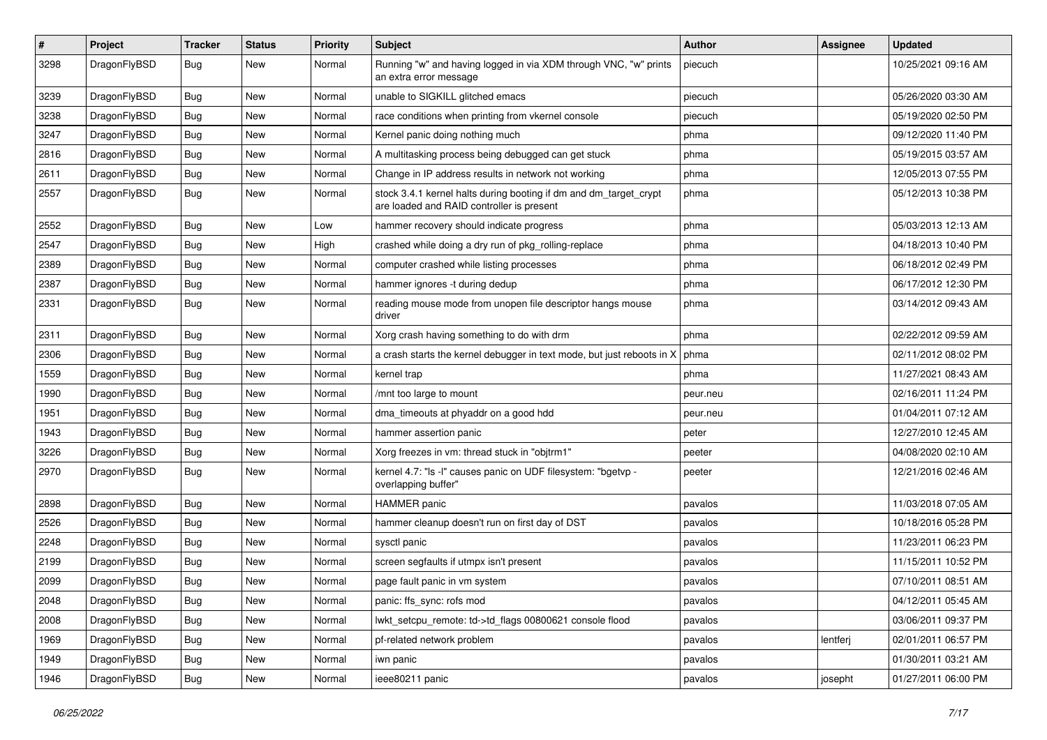| #    | Project      | <b>Tracker</b> | <b>Status</b> | <b>Priority</b> | Subject                                                                                                        | Author   | Assignee | <b>Updated</b>      |
|------|--------------|----------------|---------------|-----------------|----------------------------------------------------------------------------------------------------------------|----------|----------|---------------------|
| 3298 | DragonFlyBSD | Bug            | New           | Normal          | Running "w" and having logged in via XDM through VNC, "w" prints<br>an extra error message                     | piecuch  |          | 10/25/2021 09:16 AM |
| 3239 | DragonFlyBSD | Bug            | New           | Normal          | unable to SIGKILL glitched emacs                                                                               | piecuch  |          | 05/26/2020 03:30 AM |
| 3238 | DragonFlyBSD | <b>Bug</b>     | <b>New</b>    | Normal          | race conditions when printing from vkernel console                                                             | piecuch  |          | 05/19/2020 02:50 PM |
| 3247 | DragonFlyBSD | Bug            | New           | Normal          | Kernel panic doing nothing much                                                                                | phma     |          | 09/12/2020 11:40 PM |
| 2816 | DragonFlyBSD | Bug            | <b>New</b>    | Normal          | A multitasking process being debugged can get stuck                                                            | phma     |          | 05/19/2015 03:57 AM |
| 2611 | DragonFlyBSD | <b>Bug</b>     | <b>New</b>    | Normal          | Change in IP address results in network not working                                                            | phma     |          | 12/05/2013 07:55 PM |
| 2557 | DragonFlyBSD | Bug            | <b>New</b>    | Normal          | stock 3.4.1 kernel halts during booting if dm and dm_target_crypt<br>are loaded and RAID controller is present | phma     |          | 05/12/2013 10:38 PM |
| 2552 | DragonFlyBSD | Bug            | <b>New</b>    | Low             | hammer recovery should indicate progress                                                                       | phma     |          | 05/03/2013 12:13 AM |
| 2547 | DragonFlyBSD | <b>Bug</b>     | New           | High            | crashed while doing a dry run of pkg rolling-replace                                                           | phma     |          | 04/18/2013 10:40 PM |
| 2389 | DragonFlyBSD | <b>Bug</b>     | <b>New</b>    | Normal          | computer crashed while listing processes                                                                       | phma     |          | 06/18/2012 02:49 PM |
| 2387 | DragonFlyBSD | <b>Bug</b>     | New           | Normal          | hammer ignores -t during dedup                                                                                 | phma     |          | 06/17/2012 12:30 PM |
| 2331 | DragonFlyBSD | <b>Bug</b>     | <b>New</b>    | Normal          | reading mouse mode from unopen file descriptor hangs mouse<br>driver                                           | phma     |          | 03/14/2012 09:43 AM |
| 2311 | DragonFlyBSD | <b>Bug</b>     | <b>New</b>    | Normal          | Xorg crash having something to do with drm                                                                     | phma     |          | 02/22/2012 09:59 AM |
| 2306 | DragonFlyBSD | <b>Bug</b>     | New           | Normal          | a crash starts the kernel debugger in text mode, but just reboots in X                                         | phma     |          | 02/11/2012 08:02 PM |
| 1559 | DragonFlyBSD | Bug            | <b>New</b>    | Normal          | kernel trap                                                                                                    | phma     |          | 11/27/2021 08:43 AM |
| 1990 | DragonFlyBSD | <b>Bug</b>     | New           | Normal          | /mnt too large to mount                                                                                        | peur.neu |          | 02/16/2011 11:24 PM |
| 1951 | DragonFlyBSD | <b>Bug</b>     | <b>New</b>    | Normal          | dma_timeouts at phyaddr on a good hdd                                                                          | peur.neu |          | 01/04/2011 07:12 AM |
| 1943 | DragonFlyBSD | Bug            | <b>New</b>    | Normal          | hammer assertion panic                                                                                         | peter    |          | 12/27/2010 12:45 AM |
| 3226 | DragonFlyBSD | <b>Bug</b>     | New           | Normal          | Xorg freezes in vm: thread stuck in "objtrm1"                                                                  | peeter   |          | 04/08/2020 02:10 AM |
| 2970 | DragonFlyBSD | Bug            | New           | Normal          | kernel 4.7: "Is -I" causes panic on UDF filesystem: "bgetvp -<br>overlapping buffer"                           | peeter   |          | 12/21/2016 02:46 AM |
| 2898 | DragonFlyBSD | <b>Bug</b>     | New           | Normal          | <b>HAMMER</b> panic                                                                                            | pavalos  |          | 11/03/2018 07:05 AM |
| 2526 | DragonFlyBSD | <b>Bug</b>     | New           | Normal          | hammer cleanup doesn't run on first day of DST                                                                 | pavalos  |          | 10/18/2016 05:28 PM |
| 2248 | DragonFlyBSD | <b>Bug</b>     | New           | Normal          | sysctl panic                                                                                                   | pavalos  |          | 11/23/2011 06:23 PM |
| 2199 | DragonFlyBSD | <b>Bug</b>     | New           | Normal          | screen segfaults if utmpx isn't present                                                                        | pavalos  |          | 11/15/2011 10:52 PM |
| 2099 | DragonFlyBSD | <b>Bug</b>     | New           | Normal          | page fault panic in vm system                                                                                  | pavalos  |          | 07/10/2011 08:51 AM |
| 2048 | DragonFlyBSD | <b>Bug</b>     | New           | Normal          | panic: ffs_sync: rofs mod                                                                                      | pavalos  |          | 04/12/2011 05:45 AM |
| 2008 | DragonFlyBSD | <b>Bug</b>     | <b>New</b>    | Normal          | lwkt_setcpu_remote: td->td_flags 00800621 console flood                                                        | pavalos  |          | 03/06/2011 09:37 PM |
| 1969 | DragonFlyBSD | <b>Bug</b>     | New           | Normal          | pf-related network problem                                                                                     | pavalos  | lentferj | 02/01/2011 06:57 PM |
| 1949 | DragonFlyBSD | <b>Bug</b>     | New           | Normal          | iwn panic                                                                                                      | pavalos  |          | 01/30/2011 03:21 AM |
| 1946 | DragonFlyBSD | <b>Bug</b>     | New           | Normal          | ieee80211 panic                                                                                                | pavalos  | josepht  | 01/27/2011 06:00 PM |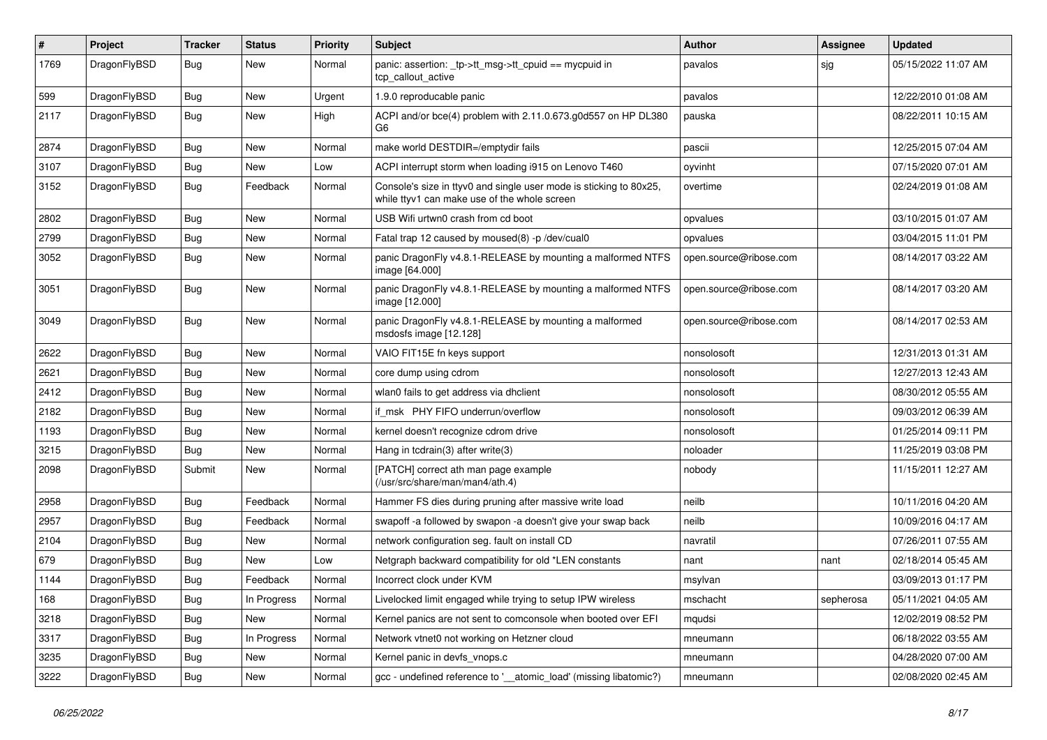| #    | Project      | <b>Tracker</b> | <b>Status</b> | <b>Priority</b> | Subject                                                                                                            | Author                 | Assignee  | <b>Updated</b>      |
|------|--------------|----------------|---------------|-----------------|--------------------------------------------------------------------------------------------------------------------|------------------------|-----------|---------------------|
| 1769 | DragonFlyBSD | Bug            | <b>New</b>    | Normal          | panic: assertion: _tp->tt_msg->tt_cpuid == mycpuid in<br>tcp callout active                                        | pavalos                | sig       | 05/15/2022 11:07 AM |
| 599  | DragonFlyBSD | Bug            | <b>New</b>    | Urgent          | 1.9.0 reproducable panic                                                                                           | pavalos                |           | 12/22/2010 01:08 AM |
| 2117 | DragonFlyBSD | <b>Bug</b>     | New           | High            | ACPI and/or bce(4) problem with 2.11.0.673.g0d557 on HP DL380<br>G6                                                | pauska                 |           | 08/22/2011 10:15 AM |
| 2874 | DragonFlyBSD | <b>Bug</b>     | <b>New</b>    | Normal          | make world DESTDIR=/emptydir fails                                                                                 | pascii                 |           | 12/25/2015 07:04 AM |
| 3107 | DragonFlyBSD | Bug            | <b>New</b>    | Low             | ACPI interrupt storm when loading i915 on Lenovo T460                                                              | oyvinht                |           | 07/15/2020 07:01 AM |
| 3152 | DragonFlyBSD | Bug            | Feedback      | Normal          | Console's size in ttyv0 and single user mode is sticking to 80x25,<br>while ttyv1 can make use of the whole screen | overtime               |           | 02/24/2019 01:08 AM |
| 2802 | DragonFlyBSD | Bug            | New           | Normal          | USB Wifi urtwn0 crash from cd boot                                                                                 | opvalues               |           | 03/10/2015 01:07 AM |
| 2799 | DragonFlyBSD | Bug            | <b>New</b>    | Normal          | Fatal trap 12 caused by moused(8) -p/dev/cual0                                                                     | opvalues               |           | 03/04/2015 11:01 PM |
| 3052 | DragonFlyBSD | Bug            | New           | Normal          | panic DragonFly v4.8.1-RELEASE by mounting a malformed NTFS<br>image [64.000]                                      | open.source@ribose.com |           | 08/14/2017 03:22 AM |
| 3051 | DragonFlyBSD | <b>Bug</b>     | New           | Normal          | panic DragonFly v4.8.1-RELEASE by mounting a malformed NTFS<br>image [12.000]                                      | open.source@ribose.com |           | 08/14/2017 03:20 AM |
| 3049 | DragonFlyBSD | <b>Bug</b>     | New           | Normal          | panic DragonFly v4.8.1-RELEASE by mounting a malformed<br>msdosfs image [12.128]                                   | open.source@ribose.com |           | 08/14/2017 02:53 AM |
| 2622 | DragonFlyBSD | Bug            | New           | Normal          | VAIO FIT15E fn keys support                                                                                        | nonsolosoft            |           | 12/31/2013 01:31 AM |
| 2621 | DragonFlyBSD | Bug            | <b>New</b>    | Normal          | core dump using cdrom                                                                                              | nonsolosoft            |           | 12/27/2013 12:43 AM |
| 2412 | DragonFlyBSD | <b>Bug</b>     | <b>New</b>    | Normal          | wlan0 fails to get address via dhclient                                                                            | nonsolosoft            |           | 08/30/2012 05:55 AM |
| 2182 | DragonFlyBSD | Bug            | <b>New</b>    | Normal          | if msk PHY FIFO underrun/overflow                                                                                  | nonsolosoft            |           | 09/03/2012 06:39 AM |
| 1193 | DragonFlyBSD | <b>Bug</b>     | New           | Normal          | kernel doesn't recognize cdrom drive                                                                               | nonsolosoft            |           | 01/25/2014 09:11 PM |
| 3215 | DragonFlyBSD | Bug            | <b>New</b>    | Normal          | Hang in tcdrain(3) after write(3)                                                                                  | noloader               |           | 11/25/2019 03:08 PM |
| 2098 | DragonFlyBSD | Submit         | New           | Normal          | [PATCH] correct ath man page example<br>(/usr/src/share/man/man4/ath.4)                                            | nobody                 |           | 11/15/2011 12:27 AM |
| 2958 | DragonFlyBSD | <b>Bug</b>     | Feedback      | Normal          | Hammer FS dies during pruning after massive write load                                                             | neilb                  |           | 10/11/2016 04:20 AM |
| 2957 | DragonFlyBSD | <b>Bug</b>     | Feedback      | Normal          | swapoff -a followed by swapon -a doesn't give your swap back                                                       | neilb                  |           | 10/09/2016 04:17 AM |
| 2104 | DragonFlyBSD | <b>Bug</b>     | <b>New</b>    | Normal          | network configuration seg. fault on install CD                                                                     | navratil               |           | 07/26/2011 07:55 AM |
| 679  | DragonFlyBSD | Bug            | <b>New</b>    | Low             | Netgraph backward compatibility for old *LEN constants                                                             | nant                   | nant      | 02/18/2014 05:45 AM |
| 1144 | DragonFlyBSD | <b>Bug</b>     | Feedback      | Normal          | Incorrect clock under KVM                                                                                          | msylvan                |           | 03/09/2013 01:17 PM |
| 168  | DragonFlyBSD | Bug            | In Progress   | Normal          | Livelocked limit engaged while trying to setup IPW wireless                                                        | mschacht               | sepherosa | 05/11/2021 04:05 AM |
| 3218 | DragonFlyBSD | <b>Bug</b>     | New           | Normal          | Kernel panics are not sent to comconsole when booted over EFI                                                      | mqudsi                 |           | 12/02/2019 08:52 PM |
| 3317 | DragonFlyBSD | <b>Bug</b>     | In Progress   | Normal          | Network vtnet0 not working on Hetzner cloud                                                                        | mneumann               |           | 06/18/2022 03:55 AM |
| 3235 | DragonFlyBSD | <b>Bug</b>     | New           | Normal          | Kernel panic in devfs_vnops.c                                                                                      | mneumann               |           | 04/28/2020 07:00 AM |
| 3222 | DragonFlyBSD | <b>Bug</b>     | New           | Normal          | gcc - undefined reference to '__atomic_load' (missing libatomic?)                                                  | mneumann               |           | 02/08/2020 02:45 AM |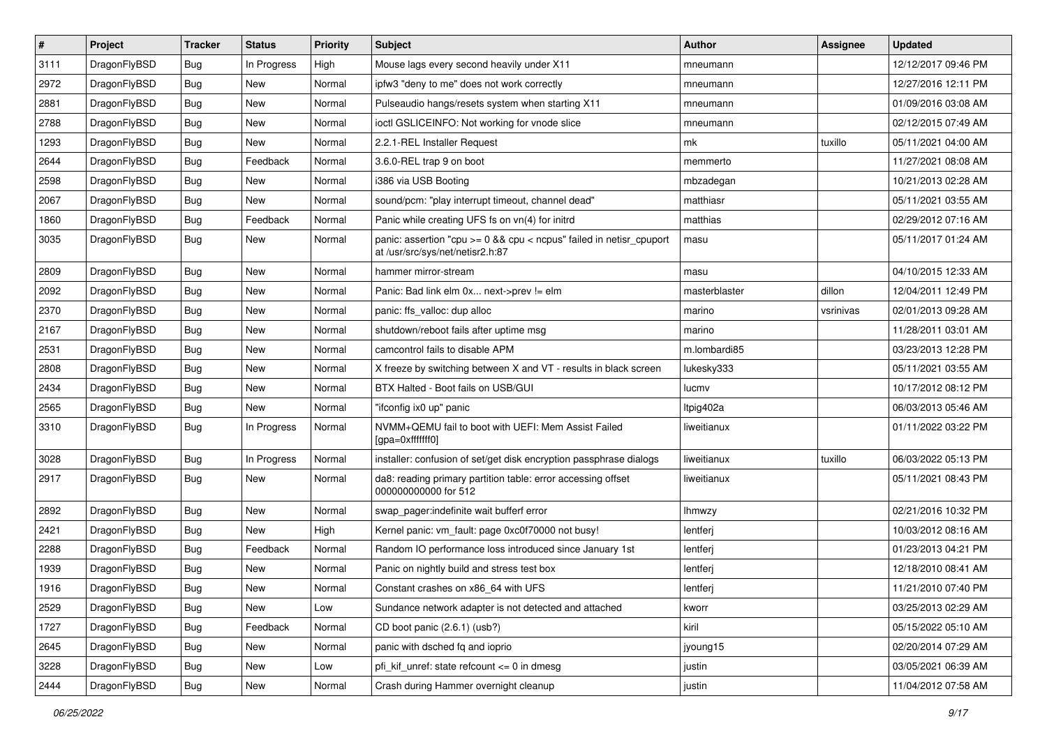| $\sharp$ | Project      | <b>Tracker</b> | <b>Status</b> | <b>Priority</b> | Subject                                                                                                 | <b>Author</b> | Assignee  | <b>Updated</b>      |
|----------|--------------|----------------|---------------|-----------------|---------------------------------------------------------------------------------------------------------|---------------|-----------|---------------------|
| 3111     | DragonFlyBSD | Bug            | In Progress   | High            | Mouse lags every second heavily under X11                                                               | mneumann      |           | 12/12/2017 09:46 PM |
| 2972     | DragonFlyBSD | Bug            | <b>New</b>    | Normal          | ipfw3 "deny to me" does not work correctly                                                              | mneumann      |           | 12/27/2016 12:11 PM |
| 2881     | DragonFlyBSD | <b>Bug</b>     | New           | Normal          | Pulseaudio hangs/resets system when starting X11                                                        | mneumann      |           | 01/09/2016 03:08 AM |
| 2788     | DragonFlyBSD | <b>Bug</b>     | New           | Normal          | ioctl GSLICEINFO: Not working for vnode slice                                                           | mneumann      |           | 02/12/2015 07:49 AM |
| 1293     | DragonFlyBSD | Bug            | <b>New</b>    | Normal          | 2.2.1-REL Installer Request                                                                             | mk            | tuxillo   | 05/11/2021 04:00 AM |
| 2644     | DragonFlyBSD | <b>Bug</b>     | Feedback      | Normal          | 3.6.0-REL trap 9 on boot                                                                                | memmerto      |           | 11/27/2021 08:08 AM |
| 2598     | DragonFlyBSD | <b>Bug</b>     | New           | Normal          | i386 via USB Booting                                                                                    | mbzadegan     |           | 10/21/2013 02:28 AM |
| 2067     | DragonFlyBSD | <b>Bug</b>     | New           | Normal          | sound/pcm: "play interrupt timeout, channel dead"                                                       | matthiasr     |           | 05/11/2021 03:55 AM |
| 1860     | DragonFlyBSD | <b>Bug</b>     | Feedback      | Normal          | Panic while creating UFS fs on vn(4) for initrd                                                         | matthias      |           | 02/29/2012 07:16 AM |
| 3035     | DragonFlyBSD | Bug            | New           | Normal          | panic: assertion "cpu >= 0 && cpu < ncpus" failed in netisr_cpuport<br>at /usr/src/sys/net/netisr2.h:87 | masu          |           | 05/11/2017 01:24 AM |
| 2809     | DragonFlyBSD | Bug            | New           | Normal          | hammer mirror-stream                                                                                    | masu          |           | 04/10/2015 12:33 AM |
| 2092     | DragonFlyBSD | Bug            | <b>New</b>    | Normal          | Panic: Bad link elm 0x next->prev != elm                                                                | masterblaster | dillon    | 12/04/2011 12:49 PM |
| 2370     | DragonFlyBSD | <b>Bug</b>     | <b>New</b>    | Normal          | panic: ffs_valloc: dup alloc                                                                            | marino        | vsrinivas | 02/01/2013 09:28 AM |
| 2167     | DragonFlyBSD | <b>Bug</b>     | <b>New</b>    | Normal          | shutdown/reboot fails after uptime msg                                                                  | marino        |           | 11/28/2011 03:01 AM |
| 2531     | DragonFlyBSD | <b>Bug</b>     | New           | Normal          | camcontrol fails to disable APM                                                                         | m.lombardi85  |           | 03/23/2013 12:28 PM |
| 2808     | DragonFlyBSD | <b>Bug</b>     | New           | Normal          | X freeze by switching between X and VT - results in black screen                                        | lukesky333    |           | 05/11/2021 03:55 AM |
| 2434     | DragonFlyBSD | Bug            | New           | Normal          | BTX Halted - Boot fails on USB/GUI                                                                      | lucmv         |           | 10/17/2012 08:12 PM |
| 2565     | DragonFlyBSD | <b>Bug</b>     | New           | Normal          | "ifconfig ix0 up" panic                                                                                 | Itpig402a     |           | 06/03/2013 05:46 AM |
| 3310     | DragonFlyBSD | <b>Bug</b>     | In Progress   | Normal          | NVMM+QEMU fail to boot with UEFI: Mem Assist Failed<br>[gpa=0xfffffff0]                                 | liweitianux   |           | 01/11/2022 03:22 PM |
| 3028     | DragonFlyBSD | Bug            | In Progress   | Normal          | installer: confusion of set/get disk encryption passphrase dialogs                                      | liweitianux   | tuxillo   | 06/03/2022 05:13 PM |
| 2917     | DragonFlyBSD | <b>Bug</b>     | New           | Normal          | da8: reading primary partition table: error accessing offset<br>000000000000 for 512                    | liweitianux   |           | 05/11/2021 08:43 PM |
| 2892     | DragonFlyBSD | <b>Bug</b>     | New           | Normal          | swap_pager:indefinite wait bufferf error                                                                | lhmwzy        |           | 02/21/2016 10:32 PM |
| 2421     | DragonFlyBSD | <b>Bug</b>     | <b>New</b>    | High            | Kernel panic: vm_fault: page 0xc0f70000 not busy!                                                       | lentferj      |           | 10/03/2012 08:16 AM |
| 2288     | DragonFlyBSD | <b>Bug</b>     | Feedback      | Normal          | Random IO performance loss introduced since January 1st                                                 | lentferj      |           | 01/23/2013 04:21 PM |
| 1939     | DragonFlyBSD | <b>Bug</b>     | New           | Normal          | Panic on nightly build and stress test box                                                              | lentferj      |           | 12/18/2010 08:41 AM |
| 1916     | DragonFlyBSD | Bug            | New           | Normal          | Constant crashes on x86_64 with UFS                                                                     | lentferj      |           | 11/21/2010 07:40 PM |
| 2529     | DragonFlyBSD | <b>Bug</b>     | New           | Low             | Sundance network adapter is not detected and attached                                                   | kworr         |           | 03/25/2013 02:29 AM |
| 1727     | DragonFlyBSD | Bug            | Feedback      | Normal          | CD boot panic (2.6.1) (usb?)                                                                            | kiril         |           | 05/15/2022 05:10 AM |
| 2645     | DragonFlyBSD | <b>Bug</b>     | New           | Normal          | panic with dsched fq and ioprio                                                                         | jyoung15      |           | 02/20/2014 07:29 AM |
| 3228     | DragonFlyBSD | Bug            | <b>New</b>    | Low             | pfi_kif_unref: state refcount <= 0 in dmesg                                                             | justin        |           | 03/05/2021 06:39 AM |
| 2444     | DragonFlyBSD | <b>Bug</b>     | New           | Normal          | Crash during Hammer overnight cleanup                                                                   | justin        |           | 11/04/2012 07:58 AM |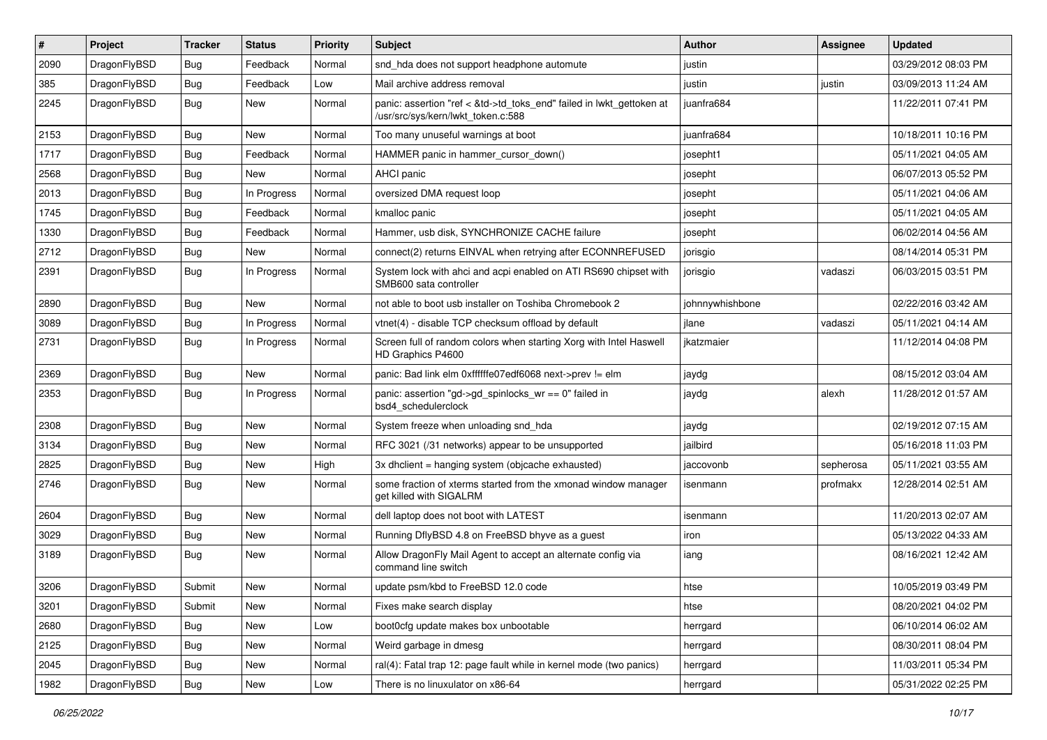| $\pmb{\#}$ | Project      | <b>Tracker</b> | <b>Status</b> | <b>Priority</b> | <b>Subject</b>                                                                                             | Author          | Assignee  | <b>Updated</b>      |
|------------|--------------|----------------|---------------|-----------------|------------------------------------------------------------------------------------------------------------|-----------------|-----------|---------------------|
| 2090       | DragonFlyBSD | Bug            | Feedback      | Normal          | snd_hda does not support headphone automute                                                                | justin          |           | 03/29/2012 08:03 PM |
| 385        | DragonFlyBSD | Bug            | Feedback      | Low             | Mail archive address removal                                                                               | justin          | justin    | 03/09/2013 11:24 AM |
| 2245       | DragonFlyBSD | Bug            | <b>New</b>    | Normal          | panic: assertion "ref < &td->td toks end" failed in lwkt gettoken at<br>/usr/src/sys/kern/lwkt_token.c:588 | juanfra684      |           | 11/22/2011 07:41 PM |
| 2153       | DragonFlyBSD | Bug            | <b>New</b>    | Normal          | Too many unuseful warnings at boot                                                                         | juanfra684      |           | 10/18/2011 10:16 PM |
| 1717       | DragonFlyBSD | <b>Bug</b>     | Feedback      | Normal          | HAMMER panic in hammer_cursor_down()                                                                       | josepht1        |           | 05/11/2021 04:05 AM |
| 2568       | DragonFlyBSD | Bug            | <b>New</b>    | Normal          | AHCI panic                                                                                                 | josepht         |           | 06/07/2013 05:52 PM |
| 2013       | DragonFlyBSD | <b>Bug</b>     | In Progress   | Normal          | oversized DMA request loop                                                                                 | josepht         |           | 05/11/2021 04:06 AM |
| 1745       | DragonFlyBSD | Bug            | Feedback      | Normal          | kmalloc panic                                                                                              | josepht         |           | 05/11/2021 04:05 AM |
| 1330       | DragonFlyBSD | Bug            | Feedback      | Normal          | Hammer, usb disk, SYNCHRONIZE CACHE failure                                                                | josepht         |           | 06/02/2014 04:56 AM |
| 2712       | DragonFlyBSD | <b>Bug</b>     | New           | Normal          | connect(2) returns EINVAL when retrying after ECONNREFUSED                                                 | jorisgio        |           | 08/14/2014 05:31 PM |
| 2391       | DragonFlyBSD | <b>Bug</b>     | In Progress   | Normal          | System lock with ahci and acpi enabled on ATI RS690 chipset with<br>SMB600 sata controller                 | jorisgio        | vadaszi   | 06/03/2015 03:51 PM |
| 2890       | DragonFlyBSD | Bug            | <b>New</b>    | Normal          | not able to boot usb installer on Toshiba Chromebook 2                                                     | johnnywhishbone |           | 02/22/2016 03:42 AM |
| 3089       | DragonFlyBSD | Bug            | In Progress   | Normal          | vtnet(4) - disable TCP checksum offload by default                                                         | jlane           | vadaszi   | 05/11/2021 04:14 AM |
| 2731       | DragonFlyBSD | <b>Bug</b>     | In Progress   | Normal          | Screen full of random colors when starting Xorg with Intel Haswell<br>HD Graphics P4600                    | jkatzmaier      |           | 11/12/2014 04:08 PM |
| 2369       | DragonFlyBSD | Bug            | <b>New</b>    | Normal          | panic: Bad link elm 0xffffffe07edf6068 next->prev != elm                                                   | jaydg           |           | 08/15/2012 03:04 AM |
| 2353       | DragonFlyBSD | Bug            | In Progress   | Normal          | panic: assertion "gd->gd_spinlocks_wr == 0" failed in<br>bsd4_schedulerclock                               | jaydg           | alexh     | 11/28/2012 01:57 AM |
| 2308       | DragonFlyBSD | Bug            | New           | Normal          | System freeze when unloading snd_hda                                                                       | jaydg           |           | 02/19/2012 07:15 AM |
| 3134       | DragonFlyBSD | <b>Bug</b>     | New           | Normal          | RFC 3021 (/31 networks) appear to be unsupported                                                           | jailbird        |           | 05/16/2018 11:03 PM |
| 2825       | DragonFlyBSD | <b>Bug</b>     | <b>New</b>    | High            | 3x dhclient = hanging system (objcache exhausted)                                                          | jaccovonb       | sepherosa | 05/11/2021 03:55 AM |
| 2746       | DragonFlyBSD | Bug            | <b>New</b>    | Normal          | some fraction of xterms started from the xmonad window manager<br>get killed with SIGALRM                  | isenmann        | profmakx  | 12/28/2014 02:51 AM |
| 2604       | DragonFlyBSD | Bug            | <b>New</b>    | Normal          | dell laptop does not boot with LATEST                                                                      | isenmann        |           | 11/20/2013 02:07 AM |
| 3029       | DragonFlyBSD | Bug            | New           | Normal          | Running DflyBSD 4.8 on FreeBSD bhyve as a guest                                                            | iron            |           | 05/13/2022 04:33 AM |
| 3189       | DragonFlyBSD | <b>Bug</b>     | New           | Normal          | Allow DragonFly Mail Agent to accept an alternate config via<br>command line switch                        | iang            |           | 08/16/2021 12:42 AM |
| 3206       | DragonFlyBSD | Submit         | New           | Normal          | update psm/kbd to FreeBSD 12.0 code                                                                        | htse            |           | 10/05/2019 03:49 PM |
| 3201       | DragonFlyBSD | Submit         | <b>New</b>    | Normal          | Fixes make search display                                                                                  | htse            |           | 08/20/2021 04:02 PM |
| 2680       | DragonFlyBSD | <b>Bug</b>     | New           | Low             | boot0cfg update makes box unbootable                                                                       | herrgard        |           | 06/10/2014 06:02 AM |
| 2125       | DragonFlyBSD | <b>Bug</b>     | New           | Normal          | Weird garbage in dmesg                                                                                     | herrgard        |           | 08/30/2011 08:04 PM |
| 2045       | DragonFlyBSD | <b>Bug</b>     | New           | Normal          | ral(4): Fatal trap 12: page fault while in kernel mode (two panics)                                        | herrgard        |           | 11/03/2011 05:34 PM |
| 1982       | DragonFlyBSD | Bug            | New           | Low             | There is no linuxulator on x86-64                                                                          | herrgard        |           | 05/31/2022 02:25 PM |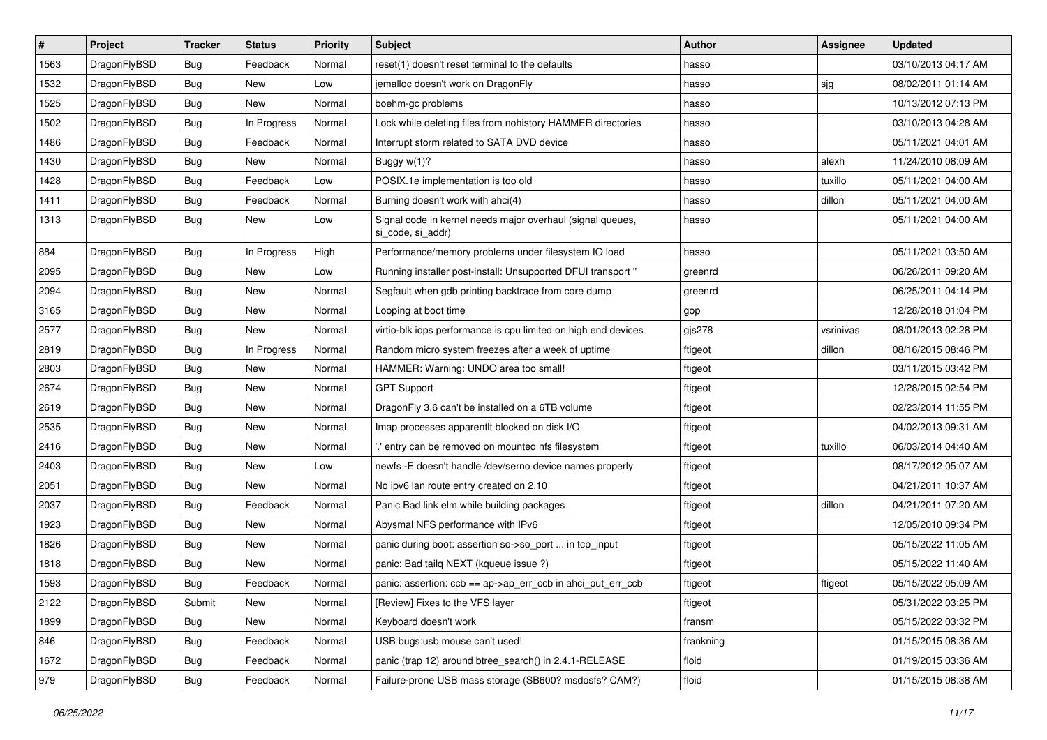| $\vert$ # | Project      | <b>Tracker</b> | <b>Status</b> | <b>Priority</b> | Subject                                                                         | <b>Author</b> | Assignee  | <b>Updated</b>      |
|-----------|--------------|----------------|---------------|-----------------|---------------------------------------------------------------------------------|---------------|-----------|---------------------|
| 1563      | DragonFlyBSD | <b>Bug</b>     | Feedback      | Normal          | reset(1) doesn't reset terminal to the defaults                                 | hasso         |           | 03/10/2013 04:17 AM |
| 1532      | DragonFlyBSD | <b>Bug</b>     | <b>New</b>    | Low             | jemalloc doesn't work on DragonFly                                              | hasso         | sjg       | 08/02/2011 01:14 AM |
| 1525      | DragonFlyBSD | <b>Bug</b>     | New           | Normal          | boehm-gc problems                                                               | hasso         |           | 10/13/2012 07:13 PM |
| 1502      | DragonFlyBSD | <b>Bug</b>     | In Progress   | Normal          | Lock while deleting files from nohistory HAMMER directories                     | hasso         |           | 03/10/2013 04:28 AM |
| 1486      | DragonFlyBSD | <b>Bug</b>     | Feedback      | Normal          | Interrupt storm related to SATA DVD device                                      | hasso         |           | 05/11/2021 04:01 AM |
| 1430      | DragonFlyBSD | <b>Bug</b>     | New           | Normal          | Buggy $w(1)$ ?                                                                  | hasso         | alexh     | 11/24/2010 08:09 AM |
| 1428      | DragonFlyBSD | Bug            | Feedback      | Low             | POSIX.1e implementation is too old                                              | hasso         | tuxillo   | 05/11/2021 04:00 AM |
| 1411      | DragonFlyBSD | <b>Bug</b>     | Feedback      | Normal          | Burning doesn't work with ahci(4)                                               | hasso         | dillon    | 05/11/2021 04:00 AM |
| 1313      | DragonFlyBSD | <b>Bug</b>     | New           | Low             | Signal code in kernel needs major overhaul (signal queues,<br>si_code, si_addr) | hasso         |           | 05/11/2021 04:00 AM |
| 884       | DragonFlyBSD | Bug            | In Progress   | High            | Performance/memory problems under filesystem IO load                            | hasso         |           | 05/11/2021 03:50 AM |
| 2095      | DragonFlyBSD | Bug            | <b>New</b>    | Low             | Running installer post-install: Unsupported DFUI transport "                    | greenrd       |           | 06/26/2011 09:20 AM |
| 2094      | DragonFlyBSD | <b>Bug</b>     | <b>New</b>    | Normal          | Segfault when gdb printing backtrace from core dump                             | greenrd       |           | 06/25/2011 04:14 PM |
| 3165      | DragonFlyBSD | <b>Bug</b>     | New           | Normal          | Looping at boot time                                                            | gop           |           | 12/28/2018 01:04 PM |
| 2577      | DragonFlyBSD | <b>Bug</b>     | <b>New</b>    | Normal          | virtio-blk iops performance is cpu limited on high end devices                  | gjs278        | vsrinivas | 08/01/2013 02:28 PM |
| 2819      | DragonFlyBSD | <b>Bug</b>     | In Progress   | Normal          | Random micro system freezes after a week of uptime                              | ftigeot       | dillon    | 08/16/2015 08:46 PM |
| 2803      | DragonFlyBSD | <b>Bug</b>     | <b>New</b>    | Normal          | HAMMER: Warning: UNDO area too small!                                           | ftigeot       |           | 03/11/2015 03:42 PM |
| 2674      | DragonFlyBSD | <b>Bug</b>     | <b>New</b>    | Normal          | <b>GPT Support</b>                                                              | ftigeot       |           | 12/28/2015 02:54 PM |
| 2619      | DragonFlyBSD | <b>Bug</b>     | New           | Normal          | DragonFly 3.6 can't be installed on a 6TB volume                                | ftigeot       |           | 02/23/2014 11:55 PM |
| 2535      | DragonFlyBSD | Bug            | <b>New</b>    | Normal          | Imap processes apparentlt blocked on disk I/O                                   | ftigeot       |           | 04/02/2013 09:31 AM |
| 2416      | DragonFlyBSD | <b>Bug</b>     | New           | Normal          | ".' entry can be removed on mounted nfs filesystem                              | ftigeot       | tuxillo   | 06/03/2014 04:40 AM |
| 2403      | DragonFlyBSD | <b>Bug</b>     | <b>New</b>    | Low             | newfs -E doesn't handle /dev/serno device names properly                        | ftigeot       |           | 08/17/2012 05:07 AM |
| 2051      | DragonFlyBSD | <b>Bug</b>     | <b>New</b>    | Normal          | No ipv6 lan route entry created on 2.10                                         | ftigeot       |           | 04/21/2011 10:37 AM |
| 2037      | DragonFlyBSD | <b>Bug</b>     | Feedback      | Normal          | Panic Bad link elm while building packages                                      | ftigeot       | dillon    | 04/21/2011 07:20 AM |
| 1923      | DragonFlyBSD | Bug            | <b>New</b>    | Normal          | Abysmal NFS performance with IPv6                                               | ftigeot       |           | 12/05/2010 09:34 PM |
| 1826      | DragonFlyBSD | Bug            | New           | Normal          | panic during boot: assertion so->so_port  in tcp_input                          | ftigeot       |           | 05/15/2022 11:05 AM |
| 1818      | DragonFlyBSD | <b>Bug</b>     | <b>New</b>    | Normal          | panic: Bad tailg NEXT (kqueue issue ?)                                          | ftigeot       |           | 05/15/2022 11:40 AM |
| 1593      | DragonFlyBSD | <b>Bug</b>     | Feedback      | Normal          | panic: assertion: ccb == ap->ap_err_ccb in ahci_put_err_ccb                     | ftigeot       | ftigeot   | 05/15/2022 05:09 AM |
| 2122      | DragonFlyBSD | Submit         | New           | Normal          | [Review] Fixes to the VFS layer                                                 | ftigeot       |           | 05/31/2022 03:25 PM |
| 1899      | DragonFlyBSD | <b>Bug</b>     | New           | Normal          | Keyboard doesn't work                                                           | fransm        |           | 05/15/2022 03:32 PM |
| 846       | DragonFlyBSD | <b>Bug</b>     | Feedback      | Normal          | USB bugs:usb mouse can't used!                                                  | frankning     |           | 01/15/2015 08:36 AM |
| 1672      | DragonFlyBSD | <b>Bug</b>     | Feedback      | Normal          | panic (trap 12) around btree_search() in 2.4.1-RELEASE                          | floid         |           | 01/19/2015 03:36 AM |
| 979       | DragonFlyBSD | <b>Bug</b>     | Feedback      | Normal          | Failure-prone USB mass storage (SB600? msdosfs? CAM?)                           | floid         |           | 01/15/2015 08:38 AM |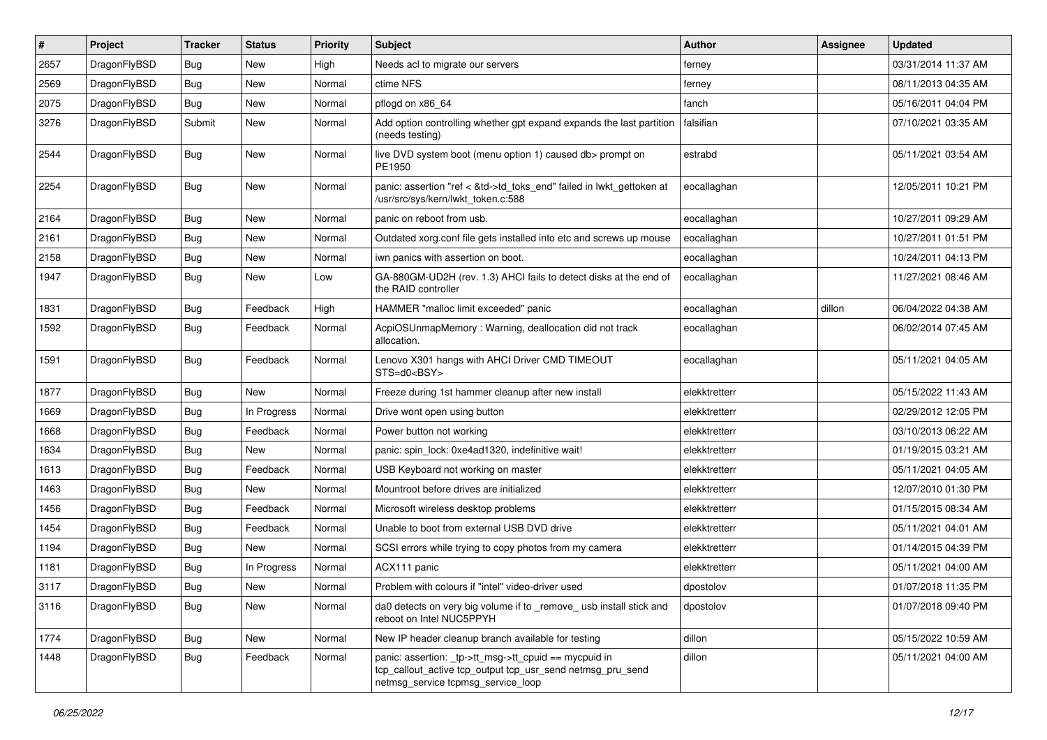| $\pmb{\#}$ | Project      | <b>Tracker</b> | <b>Status</b> | <b>Priority</b> | Subject                                                                                                                                                   | <b>Author</b> | Assignee | <b>Updated</b>      |
|------------|--------------|----------------|---------------|-----------------|-----------------------------------------------------------------------------------------------------------------------------------------------------------|---------------|----------|---------------------|
| 2657       | DragonFlyBSD | Bug            | <b>New</b>    | High            | Needs acl to migrate our servers                                                                                                                          | ferney        |          | 03/31/2014 11:37 AM |
| 2569       | DragonFlyBSD | Bug            | <b>New</b>    | Normal          | ctime NFS                                                                                                                                                 | ferney        |          | 08/11/2013 04:35 AM |
| 2075       | DragonFlyBSD | <b>Bug</b>     | <b>New</b>    | Normal          | pflogd on x86 64                                                                                                                                          | fanch         |          | 05/16/2011 04:04 PM |
| 3276       | DragonFlyBSD | Submit         | <b>New</b>    | Normal          | Add option controlling whether gpt expand expands the last partition<br>(needs testing)                                                                   | falsifian     |          | 07/10/2021 03:35 AM |
| 2544       | DragonFlyBSD | <b>Bug</b>     | New           | Normal          | live DVD system boot (menu option 1) caused db> prompt on<br>PE1950                                                                                       | estrabd       |          | 05/11/2021 03:54 AM |
| 2254       | DragonFlyBSD | <b>Bug</b>     | New           | Normal          | panic: assertion "ref < &td->td_toks_end" failed in lwkt_gettoken at<br>/usr/src/sys/kern/lwkt_token.c:588                                                | eocallaghan   |          | 12/05/2011 10:21 PM |
| 2164       | DragonFlyBSD | <b>Bug</b>     | New           | Normal          | panic on reboot from usb.                                                                                                                                 | eocallaghan   |          | 10/27/2011 09:29 AM |
| 2161       | DragonFlyBSD | <b>Bug</b>     | <b>New</b>    | Normal          | Outdated xorg.conf file gets installed into etc and screws up mouse                                                                                       | eocallaghan   |          | 10/27/2011 01:51 PM |
| 2158       | DragonFlyBSD | <b>Bug</b>     | New           | Normal          | iwn panics with assertion on boot.                                                                                                                        | eocallaghan   |          | 10/24/2011 04:13 PM |
| 1947       | DragonFlyBSD | Bug            | <b>New</b>    | Low             | GA-880GM-UD2H (rev. 1.3) AHCI fails to detect disks at the end of<br>the RAID controller                                                                  | eocallaghan   |          | 11/27/2021 08:46 AM |
| 1831       | DragonFlyBSD | Bug            | Feedback      | High            | HAMMER "malloc limit exceeded" panic                                                                                                                      | eocallaghan   | dillon   | 06/04/2022 04:38 AM |
| 1592       | DragonFlyBSD | <b>Bug</b>     | Feedback      | Normal          | AcpiOSUnmapMemory: Warning, deallocation did not track<br>allocation.                                                                                     | eocallaghan   |          | 06/02/2014 07:45 AM |
| 1591       | DragonFlyBSD | Bug            | Feedback      | Normal          | Lenovo X301 hangs with AHCI Driver CMD TIMEOUT<br>STS=d0 <bsy></bsy>                                                                                      | eocallaghan   |          | 05/11/2021 04:05 AM |
| 1877       | DragonFlyBSD | Bug            | New           | Normal          | Freeze during 1st hammer cleanup after new install                                                                                                        | elekktretterr |          | 05/15/2022 11:43 AM |
| 1669       | DragonFlyBSD | <b>Bug</b>     | In Progress   | Normal          | Drive wont open using button                                                                                                                              | elekktretterr |          | 02/29/2012 12:05 PM |
| 1668       | DragonFlyBSD | <b>Bug</b>     | Feedback      | Normal          | Power button not working                                                                                                                                  | elekktretterr |          | 03/10/2013 06:22 AM |
| 1634       | DragonFlyBSD | Bug            | <b>New</b>    | Normal          | panic: spin_lock: 0xe4ad1320, indefinitive wait!                                                                                                          | elekktretterr |          | 01/19/2015 03:21 AM |
| 1613       | DragonFlyBSD | <b>Bug</b>     | Feedback      | Normal          | USB Keyboard not working on master                                                                                                                        | elekktretterr |          | 05/11/2021 04:05 AM |
| 1463       | DragonFlyBSD | <b>Bug</b>     | <b>New</b>    | Normal          | Mountroot before drives are initialized                                                                                                                   | elekktretterr |          | 12/07/2010 01:30 PM |
| 1456       | DragonFlyBSD | <b>Bug</b>     | Feedback      | Normal          | Microsoft wireless desktop problems                                                                                                                       | elekktretterr |          | 01/15/2015 08:34 AM |
| 1454       | DragonFlyBSD | <b>Bug</b>     | Feedback      | Normal          | Unable to boot from external USB DVD drive                                                                                                                | elekktretterr |          | 05/11/2021 04:01 AM |
| 1194       | DragonFlyBSD | Bug            | New           | Normal          | SCSI errors while trying to copy photos from my camera                                                                                                    | elekktretterr |          | 01/14/2015 04:39 PM |
| 1181       | DragonFlyBSD | <b>Bug</b>     | In Progress   | Normal          | ACX111 panic                                                                                                                                              | elekktretterr |          | 05/11/2021 04:00 AM |
| 3117       | DragonFlyBSD | Bug            | New           | Normal          | Problem with colours if "intel" video-driver used                                                                                                         | dpostolov     |          | 01/07/2018 11:35 PM |
| 3116       | DragonFlyBSD | <b>Bug</b>     | New           | Normal          | da0 detects on very big volume if to _remove_ usb install stick and<br>reboot on Intel NUC5PPYH                                                           | dpostolov     |          | 01/07/2018 09:40 PM |
| 1774       | DragonFlyBSD | <b>Bug</b>     | New           | Normal          | New IP header cleanup branch available for testing                                                                                                        | dillon        |          | 05/15/2022 10:59 AM |
| 1448       | DragonFlyBSD | Bug            | Feedback      | Normal          | panic: assertion: _tp->tt_msg->tt_cpuid == mycpuid in<br>tcp_callout_active tcp_output tcp_usr_send netmsg_pru_send<br>netmsg_service tcpmsg_service_loop | dillon        |          | 05/11/2021 04:00 AM |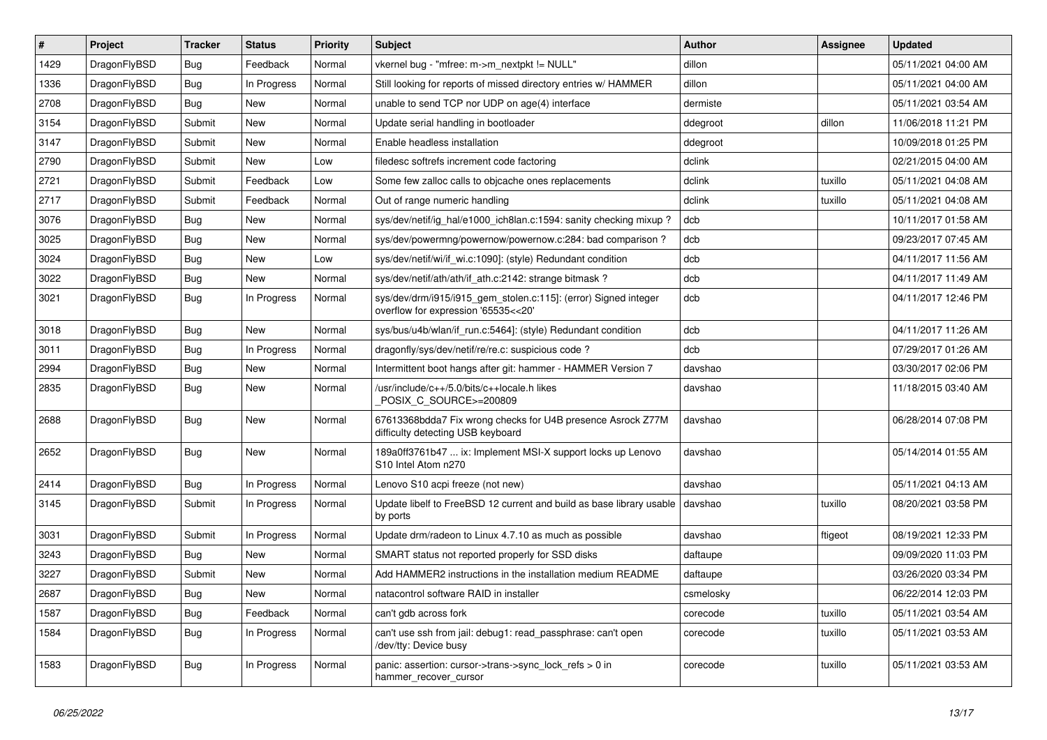| #    | Project      | <b>Tracker</b> | <b>Status</b> | Priority | <b>Subject</b>                                                                                         | <b>Author</b> | <b>Assignee</b> | <b>Updated</b>      |
|------|--------------|----------------|---------------|----------|--------------------------------------------------------------------------------------------------------|---------------|-----------------|---------------------|
| 1429 | DragonFlyBSD | Bug            | Feedback      | Normal   | vkernel bug - "mfree: m->m_nextpkt != NULL"                                                            | dillon        |                 | 05/11/2021 04:00 AM |
| 1336 | DragonFlyBSD | <b>Bug</b>     | In Progress   | Normal   | Still looking for reports of missed directory entries w/ HAMMER                                        | dillon        |                 | 05/11/2021 04:00 AM |
| 2708 | DragonFlyBSD | <b>Bug</b>     | New           | Normal   | unable to send TCP nor UDP on age(4) interface                                                         | dermiste      |                 | 05/11/2021 03:54 AM |
| 3154 | DragonFlyBSD | Submit         | New           | Normal   | Update serial handling in bootloader                                                                   | ddegroot      | dillon          | 11/06/2018 11:21 PM |
| 3147 | DragonFlyBSD | Submit         | New           | Normal   | Enable headless installation                                                                           | ddegroot      |                 | 10/09/2018 01:25 PM |
| 2790 | DragonFlyBSD | Submit         | New           | Low      | filedesc softrefs increment code factoring                                                             | dclink        |                 | 02/21/2015 04:00 AM |
| 2721 | DragonFlyBSD | Submit         | Feedback      | Low      | Some few zalloc calls to objcache ones replacements                                                    | dclink        | tuxillo         | 05/11/2021 04:08 AM |
| 2717 | DragonFlyBSD | Submit         | Feedback      | Normal   | Out of range numeric handling                                                                          | dclink        | tuxillo         | 05/11/2021 04:08 AM |
| 3076 | DragonFlyBSD | <b>Bug</b>     | New           | Normal   | sys/dev/netif/ig hal/e1000 ich8lan.c:1594: sanity checking mixup?                                      | dcb           |                 | 10/11/2017 01:58 AM |
| 3025 | DragonFlyBSD | <b>Bug</b>     | New           | Normal   | sys/dev/powermng/powernow/powernow.c:284: bad comparison ?                                             | dcb           |                 | 09/23/2017 07:45 AM |
| 3024 | DragonFlyBSD | <b>Bug</b>     | New           | Low      | sys/dev/netif/wi/if_wi.c:1090]: (style) Redundant condition                                            | dcb           |                 | 04/11/2017 11:56 AM |
| 3022 | DragonFlyBSD | <b>Bug</b>     | New           | Normal   | sys/dev/netif/ath/ath/if ath.c:2142: strange bitmask?                                                  | dcb           |                 | 04/11/2017 11:49 AM |
| 3021 | DragonFlyBSD | <b>Bug</b>     | In Progress   | Normal   | sys/dev/drm/i915/i915_gem_stolen.c:115]: (error) Signed integer<br>overflow for expression '65535<<20' | dcb           |                 | 04/11/2017 12:46 PM |
| 3018 | DragonFlyBSD | <b>Bug</b>     | <b>New</b>    | Normal   | sys/bus/u4b/wlan/if_run.c:5464]: (style) Redundant condition                                           | dcb           |                 | 04/11/2017 11:26 AM |
| 3011 | DragonFlyBSD | <b>Bug</b>     | In Progress   | Normal   | dragonfly/sys/dev/netif/re/re.c: suspicious code?                                                      | dcb           |                 | 07/29/2017 01:26 AM |
| 2994 | DragonFlyBSD | <b>Bug</b>     | <b>New</b>    | Normal   | Intermittent boot hangs after git: hammer - HAMMER Version 7                                           | davshao       |                 | 03/30/2017 02:06 PM |
| 2835 | DragonFlyBSD | <b>Bug</b>     | New           | Normal   | /usr/include/c++/5.0/bits/c++locale.h likes<br>POSIX C SOURCE>=200809                                  | davshao       |                 | 11/18/2015 03:40 AM |
| 2688 | DragonFlyBSD | Bug            | New           | Normal   | 67613368bdda7 Fix wrong checks for U4B presence Asrock Z77M<br>difficulty detecting USB keyboard       | davshao       |                 | 06/28/2014 07:08 PM |
| 2652 | DragonFlyBSD | <b>Bug</b>     | New           | Normal   | 189a0ff3761b47  ix: Implement MSI-X support locks up Lenovo<br>S10 Intel Atom n270                     | davshao       |                 | 05/14/2014 01:55 AM |
| 2414 | DragonFlyBSD | <b>Bug</b>     | In Progress   | Normal   | Lenovo S10 acpi freeze (not new)                                                                       | davshao       |                 | 05/11/2021 04:13 AM |
| 3145 | DragonFlyBSD | Submit         | In Progress   | Normal   | Update libelf to FreeBSD 12 current and build as base library usable<br>by ports                       | davshao       | tuxillo         | 08/20/2021 03:58 PM |
| 3031 | DragonFlyBSD | Submit         | In Progress   | Normal   | Update drm/radeon to Linux 4.7.10 as much as possible                                                  | davshao       | ftigeot         | 08/19/2021 12:33 PM |
| 3243 | DragonFlyBSD | Bug            | New           | Normal   | SMART status not reported properly for SSD disks                                                       | daftaupe      |                 | 09/09/2020 11:03 PM |
| 3227 | DragonFlyBSD | Submit         | <b>New</b>    | Normal   | Add HAMMER2 instructions in the installation medium README                                             | daftaupe      |                 | 03/26/2020 03:34 PM |
| 2687 | DragonFlyBSD | Bug            | <b>New</b>    | Normal   | natacontrol software RAID in installer                                                                 | csmelosky     |                 | 06/22/2014 12:03 PM |
| 1587 | DragonFlyBSD | <b>Bug</b>     | Feedback      | Normal   | can't gdb across fork                                                                                  | corecode      | tuxillo         | 05/11/2021 03:54 AM |
| 1584 | DragonFlyBSD | <b>Bug</b>     | In Progress   | Normal   | can't use ssh from jail: debug1: read_passphrase: can't open<br>/dev/tty: Device busy                  | corecode      | tuxillo         | 05/11/2021 03:53 AM |
| 1583 | DragonFlyBSD | <b>Bug</b>     | In Progress   | Normal   | panic: assertion: cursor->trans->sync_lock_refs > 0 in<br>hammer_recover_cursor                        | corecode      | tuxillo         | 05/11/2021 03:53 AM |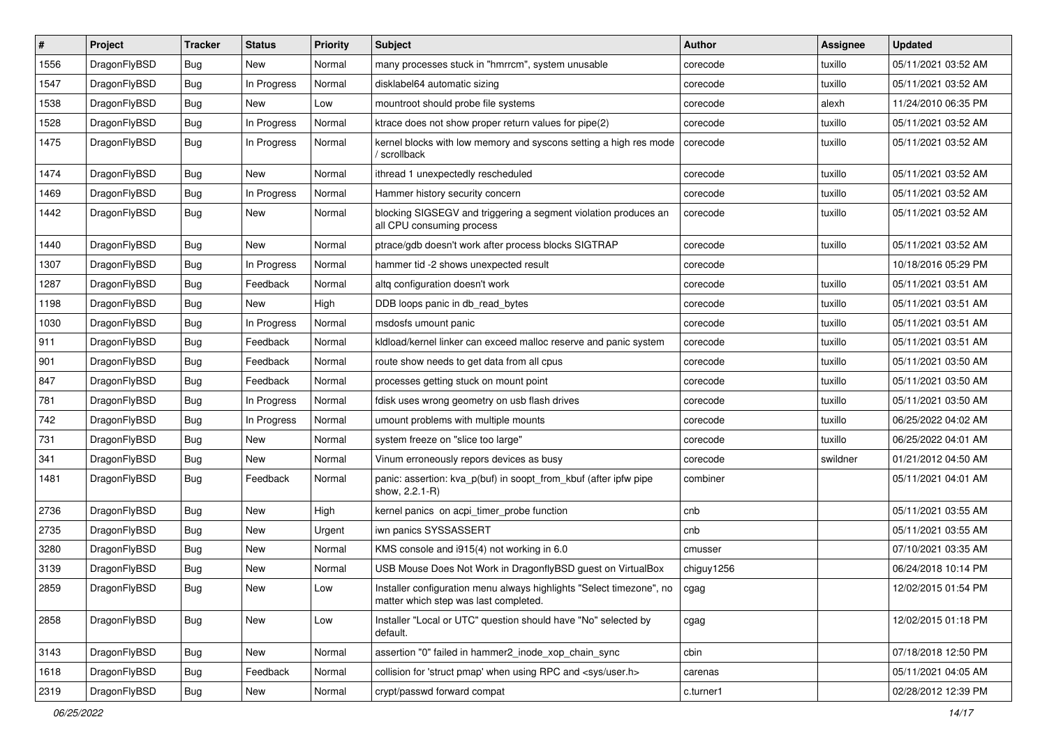| $\#$ | Project      | Tracker    | <b>Status</b> | <b>Priority</b> | <b>Subject</b>                                                                                                | <b>Author</b> | Assignee | <b>Updated</b>      |
|------|--------------|------------|---------------|-----------------|---------------------------------------------------------------------------------------------------------------|---------------|----------|---------------------|
| 1556 | DragonFlyBSD | <b>Bug</b> | New           | Normal          | many processes stuck in "hmrrcm", system unusable                                                             | corecode      | tuxillo  | 05/11/2021 03:52 AM |
| 1547 | DragonFlyBSD | <b>Bug</b> | In Progress   | Normal          | disklabel64 automatic sizing                                                                                  | corecode      | tuxillo  | 05/11/2021 03:52 AM |
| 1538 | DragonFlyBSD | Bug        | New           | Low             | mountroot should probe file systems                                                                           | corecode      | alexh    | 11/24/2010 06:35 PM |
| 1528 | DragonFlyBSD | Bug        | In Progress   | Normal          | ktrace does not show proper return values for pipe(2)                                                         | corecode      | tuxillo  | 05/11/2021 03:52 AM |
| 1475 | DragonFlyBSD | <b>Bug</b> | In Progress   | Normal          | kernel blocks with low memory and syscons setting a high res mode<br>/ scrollback                             | corecode      | tuxillo  | 05/11/2021 03:52 AM |
| 1474 | DragonFlyBSD | <b>Bug</b> | <b>New</b>    | Normal          | ithread 1 unexpectedly rescheduled                                                                            | corecode      | tuxillo  | 05/11/2021 03:52 AM |
| 1469 | DragonFlyBSD | Bug        | In Progress   | Normal          | Hammer history security concern                                                                               | corecode      | tuxillo  | 05/11/2021 03:52 AM |
| 1442 | DragonFlyBSD | Bug        | New           | Normal          | blocking SIGSEGV and triggering a segment violation produces an<br>all CPU consuming process                  | corecode      | tuxillo  | 05/11/2021 03:52 AM |
| 1440 | DragonFlyBSD | <b>Bug</b> | New           | Normal          | ptrace/gdb doesn't work after process blocks SIGTRAP                                                          | corecode      | tuxillo  | 05/11/2021 03:52 AM |
| 1307 | DragonFlyBSD | Bug        | In Progress   | Normal          | hammer tid -2 shows unexpected result                                                                         | corecode      |          | 10/18/2016 05:29 PM |
| 1287 | DragonFlyBSD | Bug        | Feedback      | Normal          | altq configuration doesn't work                                                                               | corecode      | tuxillo  | 05/11/2021 03:51 AM |
| 1198 | DragonFlyBSD | <b>Bug</b> | New           | High            | DDB loops panic in db read bytes                                                                              | corecode      | tuxillo  | 05/11/2021 03:51 AM |
| 1030 | DragonFlyBSD | <b>Bug</b> | In Progress   | Normal          | msdosfs umount panic                                                                                          | corecode      | tuxillo  | 05/11/2021 03:51 AM |
| 911  | DragonFlyBSD | Bug        | Feedback      | Normal          | kldload/kernel linker can exceed malloc reserve and panic system                                              | corecode      | tuxillo  | 05/11/2021 03:51 AM |
| 901  | DragonFlyBSD | Bug        | Feedback      | Normal          | route show needs to get data from all cpus                                                                    | corecode      | tuxillo  | 05/11/2021 03:50 AM |
| 847  | DragonFlyBSD | <b>Bug</b> | Feedback      | Normal          | processes getting stuck on mount point                                                                        | corecode      | tuxillo  | 05/11/2021 03:50 AM |
| 781  | DragonFlyBSD | Bug        | In Progress   | Normal          | fdisk uses wrong geometry on usb flash drives                                                                 | corecode      | tuxillo  | 05/11/2021 03:50 AM |
| 742  | DragonFlyBSD | Bug        | In Progress   | Normal          | umount problems with multiple mounts                                                                          | corecode      | tuxillo  | 06/25/2022 04:02 AM |
| 731  | DragonFlyBSD | Bug        | New           | Normal          | system freeze on "slice too large"                                                                            | corecode      | tuxillo  | 06/25/2022 04:01 AM |
| 341  | DragonFlyBSD | Bug        | New           | Normal          | Vinum erroneously repors devices as busy                                                                      | corecode      | swildner | 01/21/2012 04:50 AM |
| 1481 | DragonFlyBSD | <b>Bug</b> | Feedback      | Normal          | panic: assertion: kva_p(buf) in soopt_from_kbuf (after ipfw pipe<br>show, 2.2.1-R)                            | combiner      |          | 05/11/2021 04:01 AM |
| 2736 | DragonFlyBSD | <b>Bug</b> | New           | High            | kernel panics on acpi timer probe function                                                                    | cnb           |          | 05/11/2021 03:55 AM |
| 2735 | DragonFlyBSD | <b>Bug</b> | New           | Urgent          | iwn panics SYSSASSERT                                                                                         | cnb           |          | 05/11/2021 03:55 AM |
| 3280 | DragonFlyBSD | <b>Bug</b> | New           | Normal          | KMS console and i915(4) not working in 6.0                                                                    | cmusser       |          | 07/10/2021 03:35 AM |
| 3139 | DragonFlyBSD | Bug        | New           | Normal          | USB Mouse Does Not Work in DragonflyBSD guest on VirtualBox                                                   | chiguy1256    |          | 06/24/2018 10:14 PM |
| 2859 | DragonFlyBSD | <b>Bug</b> | New           | Low             | Installer configuration menu always highlights "Select timezone", no<br>matter which step was last completed. | cgag          |          | 12/02/2015 01:54 PM |
| 2858 | DragonFlyBSD | Bug        | New           | Low             | Installer "Local or UTC" question should have "No" selected by<br>default.                                    | cgag          |          | 12/02/2015 01:18 PM |
| 3143 | DragonFlyBSD | Bug        | New           | Normal          | assertion "0" failed in hammer2_inode_xop_chain_sync                                                          | cbin          |          | 07/18/2018 12:50 PM |
| 1618 | DragonFlyBSD | <b>Bug</b> | Feedback      | Normal          | collision for 'struct pmap' when using RPC and <sys user.h=""></sys>                                          | carenas       |          | 05/11/2021 04:05 AM |
| 2319 | DragonFlyBSD | <b>Bug</b> | New           | Normal          | crypt/passwd forward compat                                                                                   | c.turner1     |          | 02/28/2012 12:39 PM |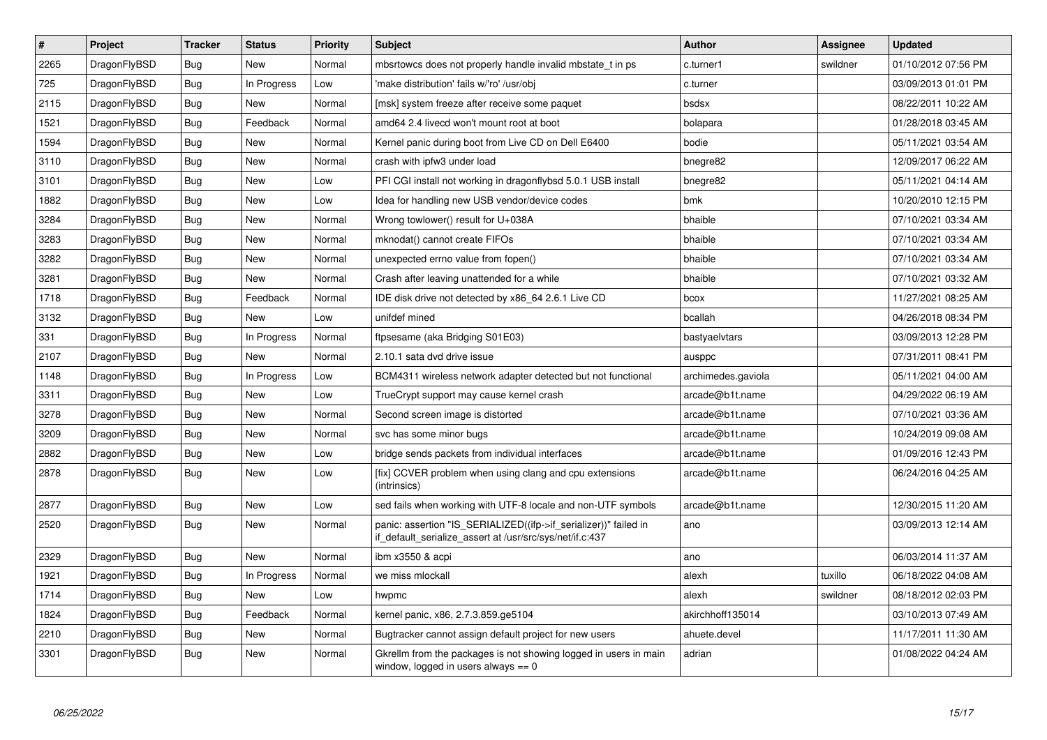| $\vert$ # | <b>Project</b> | <b>Tracker</b> | <b>Status</b> | <b>Priority</b> | <b>Subject</b>                                                                                                               | <b>Author</b>      | Assignee | <b>Updated</b>      |
|-----------|----------------|----------------|---------------|-----------------|------------------------------------------------------------------------------------------------------------------------------|--------------------|----------|---------------------|
| 2265      | DragonFlyBSD   | <b>Bug</b>     | <b>New</b>    | Normal          | mbsrtowcs does not properly handle invalid mbstate t in ps                                                                   | c.turner1          | swildner | 01/10/2012 07:56 PM |
| 725       | DragonFlyBSD   | Bug            | In Progress   | Low             | 'make distribution' fails w/'ro' /usr/obj                                                                                    | c.turner           |          | 03/09/2013 01:01 PM |
| 2115      | DragonFlyBSD   | <b>Bug</b>     | <b>New</b>    | Normal          | [msk] system freeze after receive some paquet                                                                                | bsdsx              |          | 08/22/2011 10:22 AM |
| 1521      | DragonFlyBSD   | Bug            | Feedback      | Normal          | amd64 2.4 livecd won't mount root at boot                                                                                    | bolapara           |          | 01/28/2018 03:45 AM |
| 1594      | DragonFlyBSD   | <b>Bug</b>     | <b>New</b>    | Normal          | Kernel panic during boot from Live CD on Dell E6400                                                                          | bodie              |          | 05/11/2021 03:54 AM |
| 3110      | DragonFlyBSD   | Bug            | <b>New</b>    | Normal          | crash with ipfw3 under load                                                                                                  | bnegre82           |          | 12/09/2017 06:22 AM |
| 3101      | DragonFlyBSD   | <b>Bug</b>     | <b>New</b>    | Low             | PFI CGI install not working in dragonflybsd 5.0.1 USB install                                                                | bnegre82           |          | 05/11/2021 04:14 AM |
| 1882      | DragonFlyBSD   | <b>Bug</b>     | New           | Low             | Idea for handling new USB vendor/device codes                                                                                | bmk                |          | 10/20/2010 12:15 PM |
| 3284      | DragonFlyBSD   | <b>Bug</b>     | <b>New</b>    | Normal          | Wrong towlower() result for U+038A                                                                                           | bhaible            |          | 07/10/2021 03:34 AM |
| 3283      | DragonFlyBSD   | Bug            | <b>New</b>    | Normal          | mknodat() cannot create FIFOs                                                                                                | bhaible            |          | 07/10/2021 03:34 AM |
| 3282      | DragonFlyBSD   | <b>Bug</b>     | <b>New</b>    | Normal          | unexpected errno value from fopen()                                                                                          | bhaible            |          | 07/10/2021 03:34 AM |
| 3281      | DragonFlyBSD   | Bug            | New           | Normal          | Crash after leaving unattended for a while                                                                                   | bhaible            |          | 07/10/2021 03:32 AM |
| 1718      | DragonFlyBSD   | <b>Bug</b>     | Feedback      | Normal          | IDE disk drive not detected by x86 64 2.6.1 Live CD                                                                          | bcox               |          | 11/27/2021 08:25 AM |
| 3132      | DragonFlyBSD   | Bug            | <b>New</b>    | Low             | unifdef mined                                                                                                                | bcallah            |          | 04/26/2018 08:34 PM |
| 331       | DragonFlyBSD   | <b>Bug</b>     | In Progress   | Normal          | ftpsesame (aka Bridging S01E03)                                                                                              | bastyaelvtars      |          | 03/09/2013 12:28 PM |
| 2107      | DragonFlyBSD   | Bug            | <b>New</b>    | Normal          | 2.10.1 sata dvd drive issue                                                                                                  | ausppc             |          | 07/31/2011 08:41 PM |
| 1148      | DragonFlyBSD   | <b>Bug</b>     | In Progress   | Low             | BCM4311 wireless network adapter detected but not functional                                                                 | archimedes.gaviola |          | 05/11/2021 04:00 AM |
| 3311      | DragonFlyBSD   | Bug            | <b>New</b>    | Low             | TrueCrypt support may cause kernel crash                                                                                     | arcade@b1t.name    |          | 04/29/2022 06:19 AM |
| 3278      | DragonFlyBSD   | <b>Bug</b>     | <b>New</b>    | Normal          | Second screen image is distorted                                                                                             | arcade@b1t.name    |          | 07/10/2021 03:36 AM |
| 3209      | DragonFlyBSD   | Bug            | <b>New</b>    | Normal          | svc has some minor bugs                                                                                                      | arcade@b1t.name    |          | 10/24/2019 09:08 AM |
| 2882      | DragonFlyBSD   | <b>Bug</b>     | <b>New</b>    | Low             | bridge sends packets from individual interfaces                                                                              | arcade@b1t.name    |          | 01/09/2016 12:43 PM |
| 2878      | DragonFlyBSD   | Bug            | <b>New</b>    | Low             | [fix] CCVER problem when using clang and cpu extensions<br>(intrinsics)                                                      | arcade@b1t.name    |          | 06/24/2016 04:25 AM |
| 2877      | DragonFlyBSD   | <b>Bug</b>     | <b>New</b>    | Low             | sed fails when working with UTF-8 locale and non-UTF symbols                                                                 | arcade@b1t.name    |          | 12/30/2015 11:20 AM |
| 2520      | DragonFlyBSD   | <b>Bug</b>     | <b>New</b>    | Normal          | panic: assertion "IS_SERIALIZED((ifp->if_serializer))" failed in<br>if default serialize assert at /usr/src/sys/net/if.c:437 | ano                |          | 03/09/2013 12:14 AM |
| 2329      | DragonFlyBSD   | <b>Bug</b>     | <b>New</b>    | Normal          | ibm x3550 & acpi                                                                                                             | ano                |          | 06/03/2014 11:37 AM |
| 1921      | DragonFlyBSD   | Bug            | In Progress   | Normal          | we miss mlockall                                                                                                             | alexh              | tuxillo  | 06/18/2022 04:08 AM |
| 1714      | DragonFlyBSD   | <b>Bug</b>     | <b>New</b>    | Low             | hwpmc                                                                                                                        | alexh              | swildner | 08/18/2012 02:03 PM |
| 1824      | DragonFlyBSD   | Bug            | Feedback      | Normal          | kernel panic, x86, 2.7.3.859.ge5104                                                                                          | akirchhoff135014   |          | 03/10/2013 07:49 AM |
| 2210      | DragonFlyBSD   | <b>Bug</b>     | <b>New</b>    | Normal          | Bugtracker cannot assign default project for new users                                                                       | ahuete.devel       |          | 11/17/2011 11:30 AM |
| 3301      | DragonFlyBSD   | Bug            | <b>New</b>    | Normal          | Gkrellm from the packages is not showing logged in users in main<br>window, logged in users always $== 0$                    | adrian             |          | 01/08/2022 04:24 AM |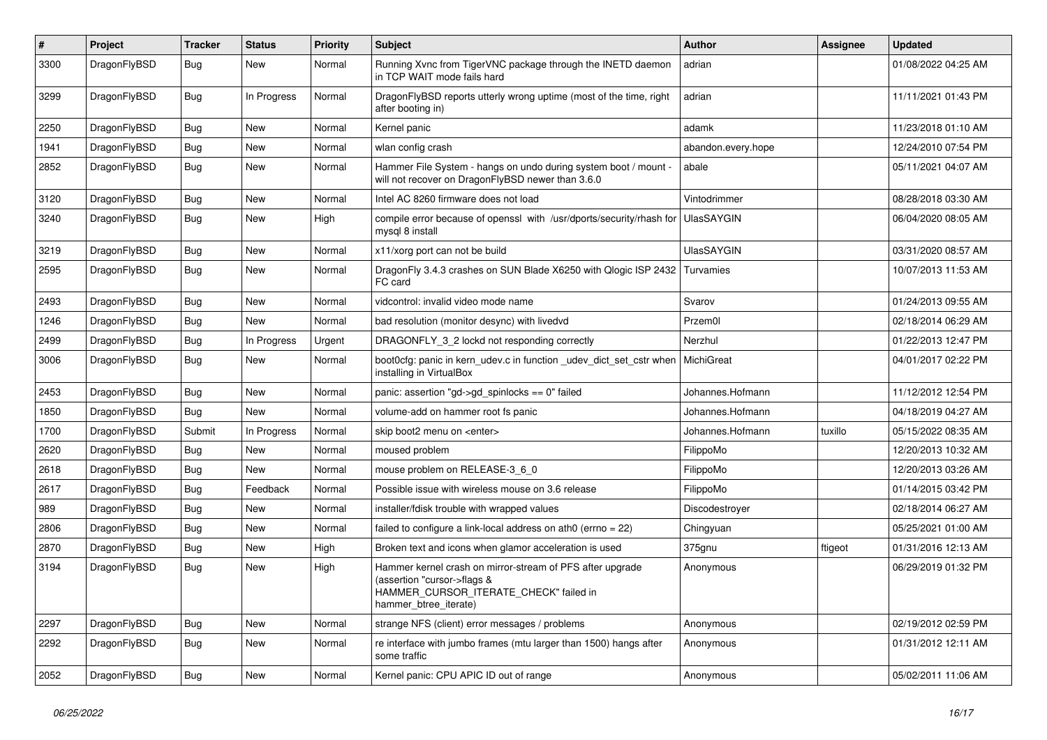| ∦    | Project      | <b>Tracker</b> | <b>Status</b> | <b>Priority</b> | <b>Subject</b>                                                                                                                                              | <b>Author</b>      | Assignee | <b>Updated</b>      |
|------|--------------|----------------|---------------|-----------------|-------------------------------------------------------------------------------------------------------------------------------------------------------------|--------------------|----------|---------------------|
| 3300 | DragonFlyBSD | <b>Bug</b>     | <b>New</b>    | Normal          | Running Xvnc from TigerVNC package through the INETD daemon<br>in TCP WAIT mode fails hard                                                                  | adrian             |          | 01/08/2022 04:25 AM |
| 3299 | DragonFlyBSD | <b>Bug</b>     | In Progress   | Normal          | DragonFlyBSD reports utterly wrong uptime (most of the time, right<br>after booting in)                                                                     | adrian             |          | 11/11/2021 01:43 PM |
| 2250 | DragonFlyBSD | Bug            | <b>New</b>    | Normal          | Kernel panic                                                                                                                                                | adamk              |          | 11/23/2018 01:10 AM |
| 1941 | DragonFlyBSD | Bug            | <b>New</b>    | Normal          | wlan config crash                                                                                                                                           | abandon.every.hope |          | 12/24/2010 07:54 PM |
| 2852 | DragonFlyBSD | <b>Bug</b>     | New           | Normal          | Hammer File System - hangs on undo during system boot / mount -<br>will not recover on DragonFlyBSD newer than 3.6.0                                        | abale              |          | 05/11/2021 04:07 AM |
| 3120 | DragonFlyBSD | <b>Bug</b>     | <b>New</b>    | Normal          | Intel AC 8260 firmware does not load                                                                                                                        | Vintodrimmer       |          | 08/28/2018 03:30 AM |
| 3240 | DragonFlyBSD | Bug            | <b>New</b>    | High            | compile error because of openssl with /usr/dports/security/rhash for<br>mysgl 8 install                                                                     | <b>UlasSAYGIN</b>  |          | 06/04/2020 08:05 AM |
| 3219 | DragonFlyBSD | <b>Bug</b>     | <b>New</b>    | Normal          | x11/xorg port can not be build                                                                                                                              | <b>UlasSAYGIN</b>  |          | 03/31/2020 08:57 AM |
| 2595 | DragonFlyBSD | Bug            | <b>New</b>    | Normal          | DragonFly 3.4.3 crashes on SUN Blade X6250 with Qlogic ISP 2432<br>FC card                                                                                  | Turvamies          |          | 10/07/2013 11:53 AM |
| 2493 | DragonFlyBSD | Bug            | <b>New</b>    | Normal          | vidcontrol: invalid video mode name                                                                                                                         | Svarov             |          | 01/24/2013 09:55 AM |
| 1246 | DragonFlyBSD | Bug            | New           | Normal          | bad resolution (monitor desync) with livedvd                                                                                                                | Przem0l            |          | 02/18/2014 06:29 AM |
| 2499 | DragonFlyBSD | <b>Bug</b>     | In Progress   | Urgent          | DRAGONFLY 3 2 lockd not responding correctly                                                                                                                | Nerzhul            |          | 01/22/2013 12:47 PM |
| 3006 | DragonFlyBSD | Bug            | <b>New</b>    | Normal          | boot0cfg: panic in kern_udev.c in function _udev_dict_set_cstr when<br>installing in VirtualBox                                                             | <b>MichiGreat</b>  |          | 04/01/2017 02:22 PM |
| 2453 | DragonFlyBSD | <b>Bug</b>     | <b>New</b>    | Normal          | panic: assertion "gd->gd_spinlocks == 0" failed                                                                                                             | Johannes.Hofmann   |          | 11/12/2012 12:54 PM |
| 1850 | DragonFlyBSD | <b>Bug</b>     | New           | Normal          | volume-add on hammer root fs panic                                                                                                                          | Johannes.Hofmann   |          | 04/18/2019 04:27 AM |
| 1700 | DragonFlyBSD | Submit         | In Progress   | Normal          | skip boot2 menu on <enter></enter>                                                                                                                          | Johannes.Hofmann   | tuxillo  | 05/15/2022 08:35 AM |
| 2620 | DragonFlyBSD | Bug            | <b>New</b>    | Normal          | moused problem                                                                                                                                              | FilippoMo          |          | 12/20/2013 10:32 AM |
| 2618 | DragonFlyBSD | <b>Bug</b>     | New           | Normal          | mouse problem on RELEASE-3 6 0                                                                                                                              | FilippoMo          |          | 12/20/2013 03:26 AM |
| 2617 | DragonFlyBSD | <b>Bug</b>     | Feedback      | Normal          | Possible issue with wireless mouse on 3.6 release                                                                                                           | FilippoMo          |          | 01/14/2015 03:42 PM |
| 989  | DragonFlyBSD | <b>Bug</b>     | <b>New</b>    | Normal          | installer/fdisk trouble with wrapped values                                                                                                                 | Discodestroyer     |          | 02/18/2014 06:27 AM |
| 2806 | DragonFlyBSD | <b>Bug</b>     | <b>New</b>    | Normal          | failed to configure a link-local address on ath $0$ (errno = 22)                                                                                            | Chingyuan          |          | 05/25/2021 01:00 AM |
| 2870 | DragonFlyBSD | <b>Bug</b>     | <b>New</b>    | High            | Broken text and icons when glamor acceleration is used                                                                                                      | 375gnu             | ftigeot  | 01/31/2016 12:13 AM |
| 3194 | DragonFlyBSD | <b>Bug</b>     | <b>New</b>    | High            | Hammer kernel crash on mirror-stream of PFS after upgrade<br>(assertion "cursor->flags &<br>HAMMER CURSOR ITERATE CHECK" failed in<br>hammer btree iterate) | Anonymous          |          | 06/29/2019 01:32 PM |
| 2297 | DragonFlyBSD | <b>Bug</b>     | <b>New</b>    | Normal          | strange NFS (client) error messages / problems                                                                                                              | Anonymous          |          | 02/19/2012 02:59 PM |
| 2292 | DragonFlyBSD | <b>Bug</b>     | <b>New</b>    | Normal          | re interface with jumbo frames (mtu larger than 1500) hangs after<br>some traffic                                                                           | Anonymous          |          | 01/31/2012 12:11 AM |
| 2052 | DragonFlyBSD | Bug            | New           | Normal          | Kernel panic: CPU APIC ID out of range                                                                                                                      | Anonymous          |          | 05/02/2011 11:06 AM |